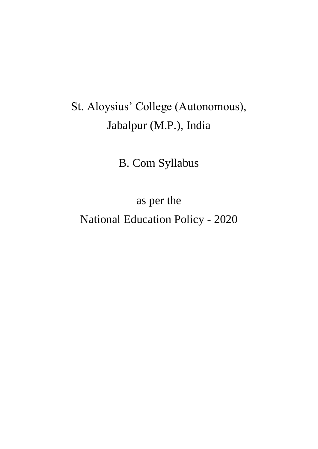# St. Aloysius' College (Autonomous), Jabalpur (M.P.), India

B. Com Syllabus

as per the

National Education Policy - 2020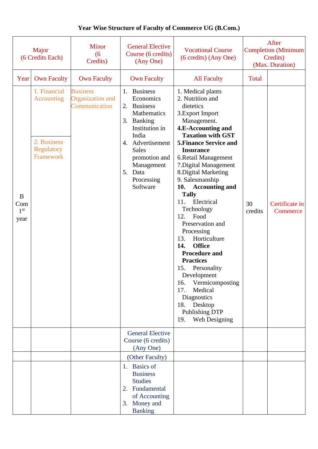#### **Year Wise Structure of Faculty of Commerce UG (B.Com.)**

| Major<br>(6 Credits Each)           |                                                                                    | <b>Minor</b><br>(6)<br>Credits)                      | <b>General Elective</b><br>Course (6 credits)<br>(Any One)                                                                                                                                                        | <b>Vocational Course</b><br>(6 credits) (Any One)                                                                                                                                                                                                                                                                                                                                                                                                                                                                                                                                                                                                                                  |               | After<br><b>Completion</b> (Minimum<br>Credits)<br>(Max. Duration) |
|-------------------------------------|------------------------------------------------------------------------------------|------------------------------------------------------|-------------------------------------------------------------------------------------------------------------------------------------------------------------------------------------------------------------------|------------------------------------------------------------------------------------------------------------------------------------------------------------------------------------------------------------------------------------------------------------------------------------------------------------------------------------------------------------------------------------------------------------------------------------------------------------------------------------------------------------------------------------------------------------------------------------------------------------------------------------------------------------------------------------|---------------|--------------------------------------------------------------------|
| Year                                | <b>Own Faculty</b>                                                                 | <b>Own Faculty</b>                                   | <b>Own Faculty</b>                                                                                                                                                                                                | <b>All Faculty</b>                                                                                                                                                                                                                                                                                                                                                                                                                                                                                                                                                                                                                                                                 | <b>Total</b>  |                                                                    |
| B<br>Com<br>1 <sup>st</sup><br>year | 1. Financial<br><b>Accounting</b><br>2. Business<br><b>Regulatory</b><br>Framework | <b>Business</b><br>Organization and<br>Communication | 1. Business<br>Economics<br><b>Business</b><br>2.<br>Mathematics<br>3. Banking<br>Institution in<br>India<br>4. Advertisement<br><b>Sales</b><br>promotion and<br>Management<br>5. Data<br>Processing<br>Software | 1. Medical plants<br>2. Nutrition and<br>dietetics<br>3. Export Import<br>Management.<br>4.E-Accounting and<br><b>Taxation with GST</b><br><b>5. Finance Service and</b><br><b>Insurance</b><br>6.Retail Management<br>7. Digital Management<br>8. Digital Marketing<br>9. Salesmanship<br>10.<br><b>Accounting and</b><br><b>Tally</b><br>Electrical<br>11.<br>Technology<br>Food<br>12.<br>Preservation and<br>Processing<br>Horticulture<br>13.<br>14.<br><b>Office</b><br><b>Procedure and</b><br><b>Practices</b><br>15.<br>Personality<br>Development<br>Vermicomposting<br>16.<br>Medical<br>17.<br>Diagnostics<br>Desktop<br>18.<br>Publishing DTP<br>Web Designing<br>19. | 30<br>credits | Certificate in<br>Commerce                                         |
|                                     |                                                                                    |                                                      | <b>General Elective</b><br>Course (6 credits)<br>(Any One)                                                                                                                                                        |                                                                                                                                                                                                                                                                                                                                                                                                                                                                                                                                                                                                                                                                                    |               |                                                                    |
|                                     |                                                                                    |                                                      | (Other Faculty)                                                                                                                                                                                                   |                                                                                                                                                                                                                                                                                                                                                                                                                                                                                                                                                                                                                                                                                    |               |                                                                    |
|                                     |                                                                                    |                                                      | <b>Basics</b> of<br>1.<br><b>Business</b><br><b>Studies</b><br>Fundamental<br>2.<br>of Accounting<br>Money and<br>3.<br><b>Banking</b>                                                                            |                                                                                                                                                                                                                                                                                                                                                                                                                                                                                                                                                                                                                                                                                    |               |                                                                    |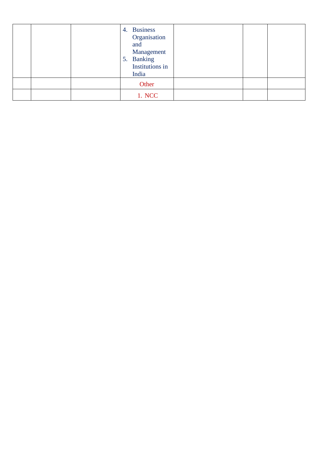|  | 4. Business<br>Organisation<br>and<br>Management<br>5. Banking<br>Institutions in<br>India |  |  |
|--|--------------------------------------------------------------------------------------------|--|--|
|  | Other                                                                                      |  |  |
|  | 1. NCC                                                                                     |  |  |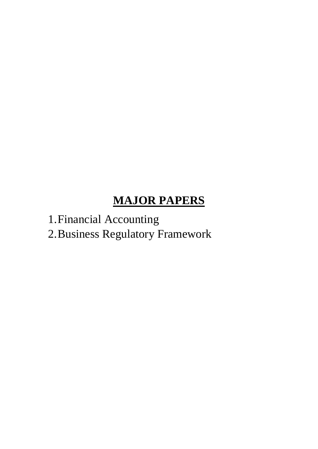#### **MAJOR PAPERS**

1.Financial Accounting

2.Business Regulatory Framework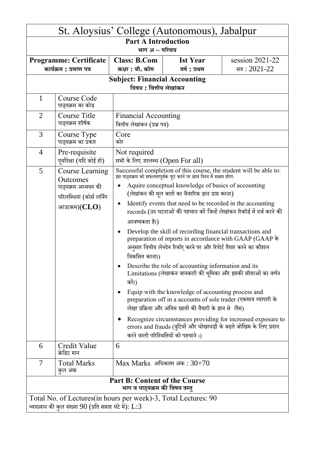| St. Aloysius' College (Autonomous), Jabalpur                                                                                  |                                                                                                                                                                                                                                                                                                                                                                                                                                                                                                                                                                                                                                                                                                                                                                                                                                                                                                                                                                                                                                                                                                                                                                                                                                                                                                         |                                                              |                                 |                                        |  |  |
|-------------------------------------------------------------------------------------------------------------------------------|---------------------------------------------------------------------------------------------------------------------------------------------------------------------------------------------------------------------------------------------------------------------------------------------------------------------------------------------------------------------------------------------------------------------------------------------------------------------------------------------------------------------------------------------------------------------------------------------------------------------------------------------------------------------------------------------------------------------------------------------------------------------------------------------------------------------------------------------------------------------------------------------------------------------------------------------------------------------------------------------------------------------------------------------------------------------------------------------------------------------------------------------------------------------------------------------------------------------------------------------------------------------------------------------------------|--------------------------------------------------------------|---------------------------------|----------------------------------------|--|--|
|                                                                                                                               | <b>Part A Introduction</b><br>भाग अ – परिचय                                                                                                                                                                                                                                                                                                                                                                                                                                                                                                                                                                                                                                                                                                                                                                                                                                                                                                                                                                                                                                                                                                                                                                                                                                                             |                                                              |                                 |                                        |  |  |
|                                                                                                                               | <b>Programme: Certificate</b><br>कार्यक्रम : प्रमाण पत्र                                                                                                                                                                                                                                                                                                                                                                                                                                                                                                                                                                                                                                                                                                                                                                                                                                                                                                                                                                                                                                                                                                                                                                                                                                                | <b>Class: B.Com</b><br>कक्षा : बी. कॉम                       | <b>Ist Year</b><br>वर्ष : प्रथम | session $2021-22$<br>सत्र: $2021 - 22$ |  |  |
|                                                                                                                               | <b>Subject: Financial Accounting</b><br>विषय : वित्तीय लेखांकन                                                                                                                                                                                                                                                                                                                                                                                                                                                                                                                                                                                                                                                                                                                                                                                                                                                                                                                                                                                                                                                                                                                                                                                                                                          |                                                              |                                 |                                        |  |  |
| 1                                                                                                                             | Course Code<br>पाठ्यक्रम का कोड                                                                                                                                                                                                                                                                                                                                                                                                                                                                                                                                                                                                                                                                                                                                                                                                                                                                                                                                                                                                                                                                                                                                                                                                                                                                         |                                                              |                                 |                                        |  |  |
| $\overline{2}$                                                                                                                | Course Title<br>पाठ्यक्रम शीर्षक                                                                                                                                                                                                                                                                                                                                                                                                                                                                                                                                                                                                                                                                                                                                                                                                                                                                                                                                                                                                                                                                                                                                                                                                                                                                        | <b>Financial Accounting</b><br>वित्तीय लेखांकन (प्रश्न पत्र) |                                 |                                        |  |  |
| 3                                                                                                                             | Course Type<br>पाठ्यक्रम का प्रकार                                                                                                                                                                                                                                                                                                                                                                                                                                                                                                                                                                                                                                                                                                                                                                                                                                                                                                                                                                                                                                                                                                                                                                                                                                                                      | Core<br>कोर                                                  |                                 |                                        |  |  |
| $\overline{4}$                                                                                                                | Pre-requisite<br>पूर्वापेक्षा (यदि कोई हो)                                                                                                                                                                                                                                                                                                                                                                                                                                                                                                                                                                                                                                                                                                                                                                                                                                                                                                                                                                                                                                                                                                                                                                                                                                                              | Not required                                                 |                                 |                                        |  |  |
| 5                                                                                                                             | सभी के लिए उपलब्ध (Open For all)<br>Successful completion of this course, the student will be able to:<br>इस पाठ्यक्रम को सफलतापूर्वक पूरा करने पर छात्र निम्न में सक्षम होगाः<br><b>Course Learning</b><br>Outcomes<br>Aquire conceptual knowledge of basics of accounting<br>पाठ्यक्रम अध्ययन की<br>(लेखांकन की मूल बातों का वैचारिक ज्ञान प्राप्त करना)<br>परिलब्धियां (कोर्स लर्निग<br>Identify events that need to be recorded in the accounting<br>$\bullet$<br>आउटकम $)$ ( $CLO$ )<br>records (उन घटनाओं की पहचान करें जिन्हें लेखांकन रिकॉर्ड में दर्ज करने की<br>आवष्यकता है।)<br>Develop the skill of recording financial transactions and<br>$\bullet$<br>preparation of reports in accordance with GAAP (GAAP के<br>अनुसार वित्तीय लेनदेन रिकॉर् करने पर और रिपोर्ट तैयार करने का कौशल<br>विकसित करना।)<br>Describe the role of accounting information and its<br>Limitations (लेखाकंन जानकारी की भूमिका और इसकी सीमाओं का वर्णन<br>करें।)<br>Equip with the knowledge of accounting process and<br>٠<br>preparation off in a accounts of sole trader (एकमात्र व्यापारी के<br>लेखा प्रक्रिया और अंतिम खातों की तैयारी के ज्ञान से लैस)<br>Recognize circumstances providing for increased exposure to<br>$\bullet$<br>errors and frauds (त्रुटियों और धोखाधड़ी के बढ़ते जोखिम के लिए प्रदान |                                                              |                                 |                                        |  |  |
| 6                                                                                                                             | Credit Value<br>क्रेडिट मान                                                                                                                                                                                                                                                                                                                                                                                                                                                                                                                                                                                                                                                                                                                                                                                                                                                                                                                                                                                                                                                                                                                                                                                                                                                                             | 6                                                            |                                 |                                        |  |  |
| 7                                                                                                                             | <b>Total Marks</b><br>कुल अंक                                                                                                                                                                                                                                                                                                                                                                                                                                                                                                                                                                                                                                                                                                                                                                                                                                                                                                                                                                                                                                                                                                                                                                                                                                                                           | $Max$ Marks अधिकतम अंक : $30+70$                             |                                 |                                        |  |  |
| <b>Part B: Content of the Course</b><br>भाग व पाठ्यक्रम की विषय वस्त्                                                         |                                                                                                                                                                                                                                                                                                                                                                                                                                                                                                                                                                                                                                                                                                                                                                                                                                                                                                                                                                                                                                                                                                                                                                                                                                                                                                         |                                                              |                                 |                                        |  |  |
| Total No. of Lectures(in hours per week)-3, Total Lectures: 90<br>व्याख्यान की कुल संख्या $90$ (प्रति सप्ताह घंटे में): $L:3$ |                                                                                                                                                                                                                                                                                                                                                                                                                                                                                                                                                                                                                                                                                                                                                                                                                                                                                                                                                                                                                                                                                                                                                                                                                                                                                                         |                                                              |                                 |                                        |  |  |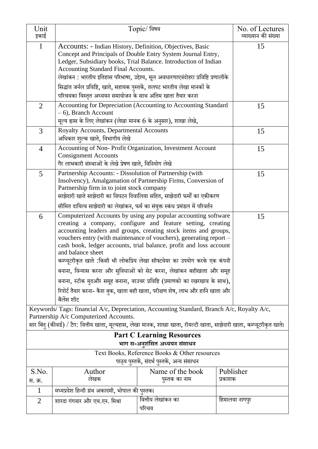| Unit<br>इकाई                                                                                                                                                 |                                                                                                                                                                                                                                                                                                                                                                   | Topic/ विषय                       | No. of Lectures<br>व्याख्यान की संख्या |  |  |
|--------------------------------------------------------------------------------------------------------------------------------------------------------------|-------------------------------------------------------------------------------------------------------------------------------------------------------------------------------------------------------------------------------------------------------------------------------------------------------------------------------------------------------------------|-----------------------------------|----------------------------------------|--|--|
| 1                                                                                                                                                            | Accounts: - Indian History, Definition, Objectives, Basic<br>Concept and Principals of Double Entry System Journal Entry,<br>Ledger, Subsidiary books, Trial Balance. Introduction of Indian<br>Accounting Standard Final Accounts.<br>लेखांकन: भारतीय इतिहास परिभाषा, उद्देश्य, मूल अवधारणाएवंदोहरा प्रविष्टि प्रणालीके                                          | 15                                |                                        |  |  |
|                                                                                                                                                              | सिद्धांत जर्नल प्रविष्टि, खाते, सहायक पुस्तकें, तलपट भारतीय लेखा मानकों के<br>परिचयका विस्तृत अध्ययन समायोजन के साथ अंतिम खाता तैयार करना                                                                                                                                                                                                                         |                                   |                                        |  |  |
| $\overline{2}$                                                                                                                                               | Accounting for Depreciation (Accounting to Accounting Standard<br>$-6$ ), Branch Account<br>मूल्य ह्रास के लिए लेखांकन (लेखा मानक 6 के अनुसार), शाखा लेखे,                                                                                                                                                                                                        |                                   | 15                                     |  |  |
| 3                                                                                                                                                            | Royalty Accounts, Departmental Accounts<br>अधिकार शुल्क खाते, विभागीय लेखे                                                                                                                                                                                                                                                                                        |                                   | 15                                     |  |  |
| 4                                                                                                                                                            | Accounting of Non-Profit Organization, Investment Account<br><b>Consignment Accounts</b><br>गैर लाभकारी संस्थाओं के लेखे प्रेषण खाते, विनियोग लेखे                                                                                                                                                                                                                | 15                                |                                        |  |  |
| 5                                                                                                                                                            | Partnership Accounts: - Dissolution of Partnership (with<br>Insolvency), Amalgamation of Partnership Firms, Conversion of<br>Partnership firm in to joint stock company<br>साझेदारी खाते साझेदारी का विघटन दिवालिया सहित, साझेदारी फर्मों का एकीकरण                                                                                                               | 15                                |                                        |  |  |
|                                                                                                                                                              | सीमित दायित्व साझेदारी का लेखांकन, फर्म का संयुक्त स्कंध प्रमंडल में परिवर्तन                                                                                                                                                                                                                                                                                     |                                   |                                        |  |  |
| 6                                                                                                                                                            | Computerized Accounts by using any popular accounting software<br>creating a company, configure and feature setting, creating<br>accounting leaders and groups, creating stock items and groups,<br>vouchers entry (with maintenance of vouchers), generating report –<br>cash book, ledger accounts, trial balance, profit and loss account<br>and balance sheet |                                   | 15                                     |  |  |
|                                                                                                                                                              | कम्प्यूटरीकृत खाते :किसी भी लोकप्रिय लेखा सॉफ्टवेयर का उपयोग करके एक कंपनी                                                                                                                                                                                                                                                                                        |                                   |                                        |  |  |
|                                                                                                                                                              | बनाना, विन्यास करना और सुविधाओं को सेट करना, लेखांकन बहीखाता और समूह                                                                                                                                                                                                                                                                                              |                                   |                                        |  |  |
|                                                                                                                                                              | बनाना, स्टॉक मुदऔर समूह बनाना, वाउचर प्रविष्टि (प्रमाणको का रखरखाव के साथ),<br>रिपोर्ट तैयार करना- कैश बुक, खाता बही खाता, परीक्षण शेष, लाभ और हानि खाता और<br>बैलेंस शीट                                                                                                                                                                                         |                                   |                                        |  |  |
|                                                                                                                                                              | Keywords/ Tags: financial A/c, Depreciation, Accounting Standard, Branch A/c, Royalty A/c,<br>Partnership A/c Computerized Accounts.                                                                                                                                                                                                                              |                                   |                                        |  |  |
| सार बिंदु (कीवर्ड) / टैग: वित्तीय खाता, मूल्यहास, लेखा मानक, शाखा खाता, रॉयल्टी खाता, साझेदारी खाता, कम्प्यूटरीकृत खाते।<br><b>Part C Learning Resources</b> |                                                                                                                                                                                                                                                                                                                                                                   |                                   |                                        |  |  |
| भाग स-अनुशंसित अध्ययन संसाधन                                                                                                                                 |                                                                                                                                                                                                                                                                                                                                                                   |                                   |                                        |  |  |
| Text Books, Reference Books & Other resources<br>पाठ्य पुस्तकें, संदर्भ पुस्तकें, अन्य संसाधन                                                                |                                                                                                                                                                                                                                                                                                                                                                   |                                   |                                        |  |  |
| S.No.<br>स. क्र.                                                                                                                                             | Author<br>लेखक                                                                                                                                                                                                                                                                                                                                                    | Name of the book<br>पुस्तक का नाम | Publisher<br>प्रकाशक                   |  |  |
| $\mathbf{1}$                                                                                                                                                 | मध्यप्रदेश हिन्दी ग्रंथ अकादमी, भोपाल की पुस्तक।                                                                                                                                                                                                                                                                                                                  |                                   |                                        |  |  |
| 2                                                                                                                                                            | शारदा गंगवार और एच.एन. मिश्रा                                                                                                                                                                                                                                                                                                                                     | वित्तीय लेखांकन का<br>परिचय       | हिमालया नागपुर                         |  |  |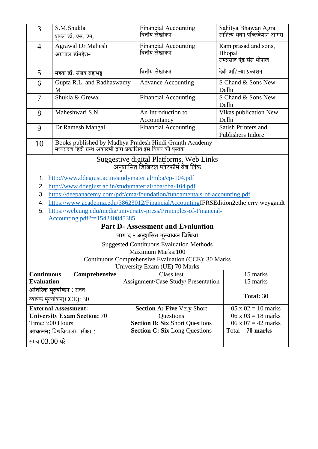| 3                                      | S.M.Shukla<br>शुक्ल डॉ. एस. एम्.                                                                                                                                                                                                                                                                                                                                                                                                                                                                                                                                 | <b>Financial Accounting</b><br>वित्तीय लेखांकन                                                                                  | Sahitya Bhawan Agra<br>साहित्य भवन पब्लिकेशन आगरा                                                         |  |  |  |
|----------------------------------------|------------------------------------------------------------------------------------------------------------------------------------------------------------------------------------------------------------------------------------------------------------------------------------------------------------------------------------------------------------------------------------------------------------------------------------------------------------------------------------------------------------------------------------------------------------------|---------------------------------------------------------------------------------------------------------------------------------|-----------------------------------------------------------------------------------------------------------|--|--|--|
| $\overline{4}$                         | <b>Agrawal Dr Mahesh</b><br>अग्रवाल डॉमहेश-                                                                                                                                                                                                                                                                                                                                                                                                                                                                                                                      | <b>Financial Accounting</b><br>वित्तीय लेखांकन                                                                                  | Ram prasad and sons,<br>Bhopal<br>रामप्रसाद एंड संस भोपाल                                                 |  |  |  |
| 5                                      | मेहता डॉ. संजय ब्रह्मभट्ट                                                                                                                                                                                                                                                                                                                                                                                                                                                                                                                                        | वित्तीय लेखांकन                                                                                                                 | देवी अहिल्या प्रकाशन                                                                                      |  |  |  |
| 6                                      | Gupta R.L. and Radhaswamy<br>M                                                                                                                                                                                                                                                                                                                                                                                                                                                                                                                                   | <b>Advance Accounting</b>                                                                                                       | S Chand & Sons New<br>Delhi                                                                               |  |  |  |
| $\overline{7}$                         | Shukla & Grewal                                                                                                                                                                                                                                                                                                                                                                                                                                                                                                                                                  | <b>Financial Accounting</b>                                                                                                     | S Chand & Sons New<br>Delhi                                                                               |  |  |  |
| 8                                      | Maheshwari S.N.                                                                                                                                                                                                                                                                                                                                                                                                                                                                                                                                                  | An Introduction to<br>Accountancy                                                                                               | Vikas publication New<br>Delhi                                                                            |  |  |  |
| 9                                      | Dr Ramesh Mangal                                                                                                                                                                                                                                                                                                                                                                                                                                                                                                                                                 | <b>Financial Accounting</b>                                                                                                     | Satish Printers and<br>Publishers Indore                                                                  |  |  |  |
| 10                                     |                                                                                                                                                                                                                                                                                                                                                                                                                                                                                                                                                                  | Books published by Madhya Pradesh Hindi Granth Academy<br>मध्यप्रदेश हिंदी ग्रन्थ अकादमी द्वारा प्रकाशित इस विषय की पुस्तके     |                                                                                                           |  |  |  |
| 1.<br>2.<br>3.<br>4.<br>5.             | Suggestive digital Platforms, Web Links<br>अनुशासित डिजिटल प्लेटफॉर्म वेब लिंक<br>http://www.ddegiust.ac.in/studymaterial/mba/cp-104.pdf<br>http://www.ddegiust.ac.in/studymaterial/bba/bba-104.pdf<br>https://deepanacemy.com/pdf/cma/foundation/fundamentals-of-accounting.pdf<br>https://www.academia.edu/38623012/FinancialAccountingIFRSEdition2ethejerryjweygandt<br>https://web.ung.edu/media/university-press/Principles-of-Financial-<br>Accounting.pdf?t=154240845385<br><b>Part D-Assessment and Evaluation</b><br>भाग द - अनुशंसित मूल्यांकन विधियां |                                                                                                                                 |                                                                                                           |  |  |  |
|                                        | <b>Suggested Continuous Evaluation Methods</b><br>Maximum Marks:100<br>Continuous Comprehensive Evaluation (CCE): 30 Marks<br>University Exam (UE) 70 Marks                                                                                                                                                                                                                                                                                                                                                                                                      |                                                                                                                                 |                                                                                                           |  |  |  |
| <b>Continuous</b><br><b>Evaluation</b> | Comprehensive<br>आंतरिक मूल्यांकन : सतत<br>व्यापक मूल्यांकन(CCE): 30                                                                                                                                                                                                                                                                                                                                                                                                                                                                                             | Class test<br>Assignment/Case Study/ Presentation                                                                               | 15 marks<br>15 marks<br>Total: 30                                                                         |  |  |  |
|                                        | <b>External Assessment:</b><br><b>University Exam Section: 70</b><br>Time:3:00 Hours<br>आकलन: विश्वविद्यालय परीक्षा :<br>समय 03.00 घंटे                                                                                                                                                                                                                                                                                                                                                                                                                          | <b>Section A: Five Very Short</b><br>Questions<br><b>Section B: Six Short Questions</b><br><b>Section C: Six Long Questions</b> | $05 \times 02 = 10$ marks<br>$06 \times 03 = 18$ marks<br>$06 \times 07 = 42$ marks<br>$Total - 70 marks$ |  |  |  |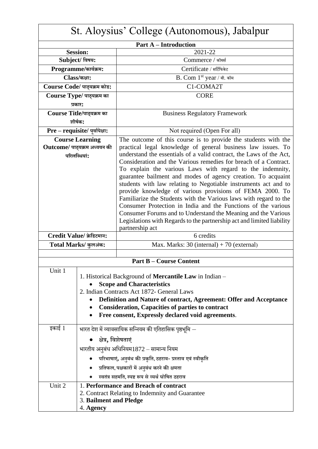| St. Aloysius' College (Autonomous), Jabalpur |                                |                                                                                                                           |  |  |
|----------------------------------------------|--------------------------------|---------------------------------------------------------------------------------------------------------------------------|--|--|
| <b>Part A - Introduction</b>                 |                                |                                                                                                                           |  |  |
|                                              | <b>Session:</b>                | 2021-22                                                                                                                   |  |  |
|                                              | Subject/ विषय:                 | Commerce / कॉमर्स                                                                                                         |  |  |
|                                              | Programme/कार्यक्रम:           | Certificate / सर्टिफिकेट                                                                                                  |  |  |
|                                              | Class/कक्षा:                   | B. Com 1st year / बी. कॉम                                                                                                 |  |  |
|                                              | Course Code/ पाठ्यक्रम कोड:    | C1-COMA2T                                                                                                                 |  |  |
|                                              | Course Type/ पाठ्यक्रम का      | <b>CORE</b>                                                                                                               |  |  |
|                                              | प्रकार:                        |                                                                                                                           |  |  |
|                                              | Course Title/पाठ्यक्रम का      | <b>Business Regulatory Framework</b>                                                                                      |  |  |
|                                              | शीर्षक:                        |                                                                                                                           |  |  |
|                                              | Pre - requisite/ पूर्वापेक्षा: | Not required (Open For all)                                                                                               |  |  |
|                                              | <b>Course Learning</b>         | The outcome of this course is to provide the students with the                                                            |  |  |
|                                              | Outcome/ पाठ्यक्रम अध्ययन की   | practical legal knowledge of general business law issues. To                                                              |  |  |
|                                              | परिलब्धियां:                   | understand the essentials of a valid contract, the Laws of the Act,                                                       |  |  |
|                                              |                                | Consideration and the Various remedies for breach of a Contract.                                                          |  |  |
|                                              |                                | To explain the various Laws with regard to the indemnity,<br>guarantee bailment and modes of agency creation. To acquaint |  |  |
|                                              |                                | students with law relating to Negotiable instruments act and to                                                           |  |  |
|                                              |                                | provide knowledge of various provisions of FEMA 2000. To                                                                  |  |  |
|                                              |                                | Familiarize the Students with the Various laws with regard to the                                                         |  |  |
|                                              |                                | Consumer Protection in India and the Functions of the various                                                             |  |  |
|                                              |                                | Consumer Forums and to Understand the Meaning and the Various                                                             |  |  |
|                                              |                                | Legislations with Regards to the partnership act and limited liability<br>partnership act                                 |  |  |
|                                              | Credit Value/ क्रेडिटमान:      | 6 credits                                                                                                                 |  |  |
|                                              | Total Marks/ कुलअंक:           | Max. Marks: $30$ (internal) + 70 (external)                                                                               |  |  |
|                                              |                                |                                                                                                                           |  |  |
|                                              |                                | <b>Part B – Course Content</b>                                                                                            |  |  |
| Unit 1                                       |                                |                                                                                                                           |  |  |
|                                              |                                | 1. Historical Background of Mercantile Law in Indian -<br><b>Scope and Characteristics</b>                                |  |  |
|                                              |                                | 2. Indian Contracts Act 1872- General Laws                                                                                |  |  |
|                                              |                                | Definition and Nature of contract, Agreement: Offer and Acceptance                                                        |  |  |
|                                              |                                | <b>Consideration, Capacities of parties to contract</b>                                                                   |  |  |
|                                              |                                | Free consent, Expressly declared void agreements.                                                                         |  |  |
| इकाई 1                                       |                                | भारत देश में व्यावसायिक सन्नियम की एतिहासिक पृष्ठभूमि $-$                                                                 |  |  |
| क्षेत्र, विशेषताएं                           |                                |                                                                                                                           |  |  |
|                                              |                                | भारतीय अनुबंध अधिनियम1872 – सामान्य नियम                                                                                  |  |  |
|                                              |                                | परिभाषाएं, अनुबंध की प्रकृति, ठहराव- प्रस्ताव एवं स्वीकृति                                                                |  |  |
|                                              |                                | ● प्रतिफल, पक्षकारों में अनुबंध करने की क्षमता                                                                            |  |  |
|                                              |                                | स्वतंत्र सहमति, स्पष्ट रूप से व्यर्थ घोषित ठहराव                                                                          |  |  |
| Unit 2                                       |                                | 1. Performance and Breach of contract                                                                                     |  |  |
|                                              |                                | 2. Contract Relating to Indemnity and Guarantee                                                                           |  |  |
|                                              | 3. Bailment and Pledge         |                                                                                                                           |  |  |
|                                              | 4. Agency                      |                                                                                                                           |  |  |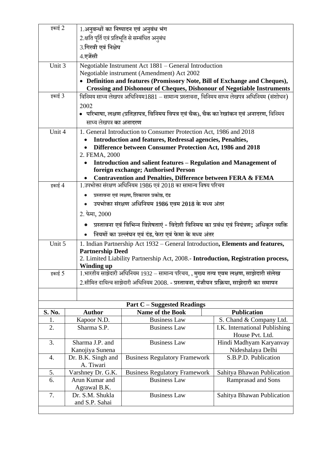| इकाई 2              |                   |                                                                                                             | 1.अनुबन्धों का निष्पादन एवं अनुबंध भंग                                                       |                                           |  |  |  |
|---------------------|-------------------|-------------------------------------------------------------------------------------------------------------|----------------------------------------------------------------------------------------------|-------------------------------------------|--|--|--|
|                     |                   | 2.क्षति पूर्ति एवं प्रतिभूति से सम्बंधित अनुबंध                                                             |                                                                                              |                                           |  |  |  |
| 3.गिरवी एवं निक्षेप |                   |                                                                                                             |                                                                                              |                                           |  |  |  |
|                     |                   | 4.एजेंसी                                                                                                    |                                                                                              |                                           |  |  |  |
| Unit 3              |                   |                                                                                                             | Negotiable Instrument Act 1881 – General Introduction                                        |                                           |  |  |  |
|                     |                   |                                                                                                             | Negotiable instrument (Amendment) Act 2002                                                   |                                           |  |  |  |
|                     |                   |                                                                                                             | • Definition and features (Promissory Note, Bill of Exchange and Cheques),                   |                                           |  |  |  |
| इकाई 3              |                   |                                                                                                             | <b>Crossing and Dishonour of Cheques, Dishonour of Negotiable Instruments</b>                |                                           |  |  |  |
|                     |                   |                                                                                                             | विनिमय साध्य लेखपत्र अधिनियम1881 – सामान्य प्रस्तावना, विनिमय साध्य लेखपत्र अधिनियम (संशोधन) |                                           |  |  |  |
|                     |                   | 2002                                                                                                        | • परिभाषा, लक्षण (प्रतिज्ञापत्र, विनिमय विपत्र एवं चैक), चैक का रेखांकन एवं अनादरण, विनिमय   |                                           |  |  |  |
|                     |                   | साध्य लेखपत्र का अनादरण                                                                                     |                                                                                              |                                           |  |  |  |
| Unit 4              |                   |                                                                                                             | 1. General Introduction to Consumer Protection Act, 1986 and 2018                            |                                           |  |  |  |
|                     |                   |                                                                                                             | <b>Introduction and features, Redressal agencies, Penalties,</b>                             |                                           |  |  |  |
|                     |                   |                                                                                                             | Difference between Consumer Protection Act, 1986 and 2018                                    |                                           |  |  |  |
|                     |                   | 2. FEMA, 2000                                                                                               |                                                                                              |                                           |  |  |  |
|                     |                   |                                                                                                             | Introduction and salient features - Regulation and Management of                             |                                           |  |  |  |
|                     |                   |                                                                                                             | foreign exchange; Authorised Person                                                          |                                           |  |  |  |
| इकाई 4              |                   |                                                                                                             | <b>Contravention and Penalties, Difference between FERA &amp; FEMA</b>                       |                                           |  |  |  |
|                     |                   | 1.उपभोक्ता संरक्षण अधिनियम 1986 एवं 2018 का सामान्य विषय परिचय                                              |                                                                                              |                                           |  |  |  |
|                     |                   | प्रस्तावना एवं लक्षण, शिकायत प्रकोष्ठ, दंड                                                                  |                                                                                              |                                           |  |  |  |
|                     |                   | उपभोक्ता संरक्षण अधिनियम 1986 एवम 2018 के मध्य अंतर                                                         |                                                                                              |                                           |  |  |  |
|                     |                   | 2. फेमा, $2000$                                                                                             |                                                                                              |                                           |  |  |  |
|                     |                   | प्रस्तावना एवं विभिन्न विशेषताएं - विदेशी विनिमय का प्रबंध एवं नियंत्रण; अधिकृत व्यक्ति                     |                                                                                              |                                           |  |  |  |
|                     |                   | नियमों का उल्लंघन एवं दंड, फेरा एवं फेमा के मध्य अंतर                                                       |                                                                                              |                                           |  |  |  |
| Unit 5              |                   | 1. Indian Partnership Act 1932 – General Introduction, Elements and features,                               |                                                                                              |                                           |  |  |  |
|                     |                   | <b>Partnership Deed</b><br>2. Limited Liability Partnership Act, 2008.- Introduction, Registration process, |                                                                                              |                                           |  |  |  |
|                     |                   | Winding up                                                                                                  |                                                                                              |                                           |  |  |  |
| इकाई 5              |                   | 1.भारतीय साझेदारी अधिनियम 1932 – सामान्य परिचय, , मुख्य तत्व एवम लक्षण, साझेदारी संलेख                      |                                                                                              |                                           |  |  |  |
|                     |                   | 2.सीमित दायित्व साझेदारी अधिनियम 2008. - प्रस्तावना, पंजीयन प्रक्रिया, साझेदारी का समापन                    |                                                                                              |                                           |  |  |  |
|                     |                   |                                                                                                             |                                                                                              |                                           |  |  |  |
|                     |                   |                                                                                                             | <b>Part C</b> – Suggested Readings                                                           |                                           |  |  |  |
| S. No.              |                   | <b>Author</b>                                                                                               | Name of the Book                                                                             | <b>Publication</b>                        |  |  |  |
| 1.                  |                   | Kapoor N.D.                                                                                                 | <b>Business Law</b>                                                                          | S. Chand & Company Ltd.                   |  |  |  |
| 2.                  |                   | Sharma S.P.                                                                                                 | <b>Business Law</b>                                                                          | I.K. International Publishing             |  |  |  |
|                     |                   |                                                                                                             |                                                                                              | House Pvt. Ltd.                           |  |  |  |
| 3.                  | Sharma J.P. and   |                                                                                                             | <b>Business Law</b>                                                                          | Hindi Madhyam Karyanvay                   |  |  |  |
| 4.                  |                   | Kanojiya Sunena<br>Dr. B.K. Singh and                                                                       | <b>Business Regulatory Framework</b>                                                         | Nideshalaya Delhi<br>S.B.P.D. Publication |  |  |  |
|                     |                   | A. Tiwari                                                                                                   |                                                                                              |                                           |  |  |  |
| 5.                  | Varshney Dr. G.K. |                                                                                                             | <b>Business Regulatory Framework</b>                                                         | Sahitya Bhawan Publication                |  |  |  |
| 6.                  |                   | Arun Kumar and                                                                                              | <b>Business Law</b>                                                                          | Ramprasad and Sons                        |  |  |  |
|                     |                   | Agrawal B.K.                                                                                                |                                                                                              |                                           |  |  |  |
| 7.                  |                   | Dr. S.M. Shukla<br>and S.P. Sahai                                                                           | <b>Business Law</b>                                                                          | Sahitya Bhawan Publication                |  |  |  |
|                     |                   |                                                                                                             |                                                                                              |                                           |  |  |  |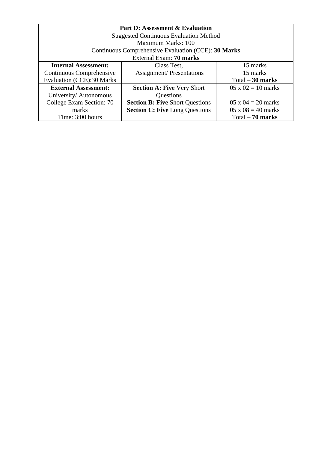| <b>Part D: Assessment &amp; Evaluation</b> |                                                     |                           |  |  |  |
|--------------------------------------------|-----------------------------------------------------|---------------------------|--|--|--|
|                                            | <b>Suggested Continuous Evaluation Method</b>       |                           |  |  |  |
|                                            | Maximum Marks: 100                                  |                           |  |  |  |
|                                            | Continuous Comprehensive Evaluation (CCE): 30 Marks |                           |  |  |  |
|                                            | External Exam: 70 marks                             |                           |  |  |  |
| <b>Internal Assessment:</b>                | Class Test,                                         | 15 marks                  |  |  |  |
| Continuous Comprehensive                   | <b>Assignment/Presentations</b>                     | 15 marks                  |  |  |  |
| <b>Evaluation (CCE):30 Marks</b>           |                                                     | $Total - 30 marks$        |  |  |  |
| <b>External Assessment:</b>                | <b>Section A: Five Very Short</b>                   | $05 \times 02 = 10$ marks |  |  |  |
| University/Autonomous                      | Questions                                           |                           |  |  |  |
| College Exam Section: 70                   | <b>Section B: Five Short Questions</b>              | $05 \times 04 = 20$ marks |  |  |  |
| marks                                      | <b>Section C: Five Long Questions</b>               | $05 \times 08 = 40$ marks |  |  |  |
| Time: 3:00 hours                           |                                                     | $Total - 70 marks$        |  |  |  |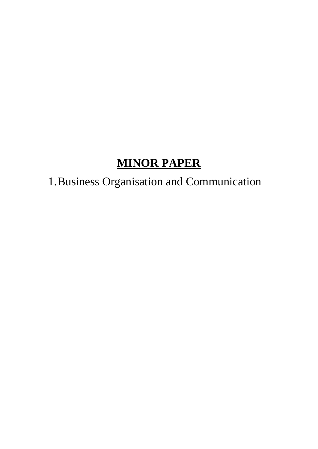### **MINOR PAPER**

## 1.Business Organisation and Communication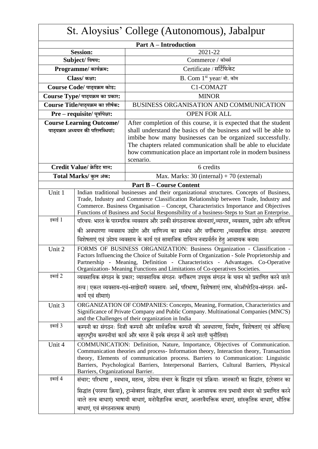| St. Aloysius' College (Autonomous), Jabalpur |                                                                                                                                                                                                                                                                                                                                                                                         |                                                                                                                                                                                                                                                                                                                                       |  |
|----------------------------------------------|-----------------------------------------------------------------------------------------------------------------------------------------------------------------------------------------------------------------------------------------------------------------------------------------------------------------------------------------------------------------------------------------|---------------------------------------------------------------------------------------------------------------------------------------------------------------------------------------------------------------------------------------------------------------------------------------------------------------------------------------|--|
|                                              |                                                                                                                                                                                                                                                                                                                                                                                         | <b>Part A – Introduction</b>                                                                                                                                                                                                                                                                                                          |  |
|                                              | <b>Session:</b>                                                                                                                                                                                                                                                                                                                                                                         | 2021-22                                                                                                                                                                                                                                                                                                                               |  |
|                                              | Subject/ विषय:                                                                                                                                                                                                                                                                                                                                                                          | Commerce / कॉमर्स                                                                                                                                                                                                                                                                                                                     |  |
|                                              | Programme/ कार्यक्रम:                                                                                                                                                                                                                                                                                                                                                                   | Certificate / सर्टिफिकेट                                                                                                                                                                                                                                                                                                              |  |
|                                              | Class/ कक्षा:                                                                                                                                                                                                                                                                                                                                                                           | B. Com 1st year/ बी. कॉम                                                                                                                                                                                                                                                                                                              |  |
|                                              | Course Code/ पाठ्यक्रम कोड:                                                                                                                                                                                                                                                                                                                                                             | C1-COMA2T                                                                                                                                                                                                                                                                                                                             |  |
|                                              | Course Type/ पाठ्यक्रम का प्रकार:                                                                                                                                                                                                                                                                                                                                                       | <b>MINOR</b>                                                                                                                                                                                                                                                                                                                          |  |
|                                              | Course Title/पाठ्यक्रम का शीर्षक:                                                                                                                                                                                                                                                                                                                                                       | BUSINESS ORGANISATION AND COMMUNICATION                                                                                                                                                                                                                                                                                               |  |
|                                              | Pre - requisite/ पूर्वापेक्षा:                                                                                                                                                                                                                                                                                                                                                          | <b>OPEN FOR ALL</b>                                                                                                                                                                                                                                                                                                                   |  |
|                                              | <b>Course Learning Outcome/</b>                                                                                                                                                                                                                                                                                                                                                         | After completion of this course, it is expected that the student                                                                                                                                                                                                                                                                      |  |
|                                              | पाठ्यक्रम अध्ययन की परिलब्धियां:                                                                                                                                                                                                                                                                                                                                                        | shall understand the basics of the business and will be able to                                                                                                                                                                                                                                                                       |  |
|                                              |                                                                                                                                                                                                                                                                                                                                                                                         | imbibe how many businesses can be organized successfully.                                                                                                                                                                                                                                                                             |  |
|                                              |                                                                                                                                                                                                                                                                                                                                                                                         | The chapters related communication shall be able to elucidate<br>how communication place an important role in modern business                                                                                                                                                                                                         |  |
|                                              |                                                                                                                                                                                                                                                                                                                                                                                         | scenario.                                                                                                                                                                                                                                                                                                                             |  |
|                                              | Credit Value/ क्रेडिट मान:                                                                                                                                                                                                                                                                                                                                                              | 6 credits                                                                                                                                                                                                                                                                                                                             |  |
|                                              | Total Marks/ कुल अंक:                                                                                                                                                                                                                                                                                                                                                                   | Max. Marks: $30$ (internal) + 70 (external)                                                                                                                                                                                                                                                                                           |  |
|                                              |                                                                                                                                                                                                                                                                                                                                                                                         | <b>Part B – Course Content</b>                                                                                                                                                                                                                                                                                                        |  |
| Unit 1                                       | Indian traditional businesses and their organizational structures. Concepts of Business,<br>Trade, Industry and Commerce Classification Relationship between Trade, Industry and<br>Commerce. Business Organisation - Concept, Characteristics Importance and Objectives<br>Functions of Business and Social Responsibility of a business-Steps to Start an Enterprise.                 |                                                                                                                                                                                                                                                                                                                                       |  |
| इकाई 1                                       |                                                                                                                                                                                                                                                                                                                                                                                         | परिचयः भारत के पारम्परिक व्यवसाय और उनकी संगठनात्मक संरचनाएं,व्यापार, व्यवसाय, उद्योग और वाणिज्य                                                                                                                                                                                                                                      |  |
|                                              |                                                                                                                                                                                                                                                                                                                                                                                         | की अवधारणा व्यवसाय उद्योग और वाणिज्य का सम्बंध और वर्गीकरणा ,व्यवसायिक संगठनः अवधारणा                                                                                                                                                                                                                                                 |  |
|                                              |                                                                                                                                                                                                                                                                                                                                                                                         | विशेषताएं एवं उदेश्य व्यवसाय के कार्य एवं सामाजिक दायित्व नवप्रर्वर्तन हेतु आवश्यक कदम।                                                                                                                                                                                                                                               |  |
| Unit 2                                       |                                                                                                                                                                                                                                                                                                                                                                                         | FORMS OF BUSINESS ORGANIZATION: Business Organization - Classification -<br>Factors Influencing the Choice of Suitable Form of Organization - Sole Proprietorship and<br>Partnership - Meaning, Definition - Characteristics - Advantages. Co-Operative<br>Organization-Meaning Functions and Limitations of Co-operatives Societies. |  |
| इकाई 2                                       |                                                                                                                                                                                                                                                                                                                                                                                         | व्यवसायिक संगठन के प्रकार: व्यावसायिक संगठनः वर्गीकरण उपयुक्त संगठन के चयन को प्रमाणित करने वाले                                                                                                                                                                                                                                      |  |
|                                              | कार्य एवं सीमाएं।                                                                                                                                                                                                                                                                                                                                                                       | तत्व   एकल व्यवसाय-एवं-साझेदारी व्यवसायः अर्थ, परिभाषा, विशेषताएं लाभ, कोऑपरेटिव-संगठनः अर्थ-                                                                                                                                                                                                                                         |  |
| Unit 3                                       | ORGANIZATION OF COMPANIES: Concepts, Meaning, Formation, Characteristics and<br>Significance of Private Company and Public Company. Multinational Companies (MNC'S)<br>and the Challenges of their organization in India                                                                                                                                                                |                                                                                                                                                                                                                                                                                                                                       |  |
| इकाई 3                                       |                                                                                                                                                                                                                                                                                                                                                                                         | कम्पनी का संगठनः निजी कम्पनी और सार्वजनिक कम्पनी की अवधारणा, निर्माण, विशेषताएं एवं औचित्य                                                                                                                                                                                                                                            |  |
|                                              | बहुराष्ट्रीय कम्पनीयां कार्य और भारत में इनके संगठन में आने वाली चुनौतियां।                                                                                                                                                                                                                                                                                                             |                                                                                                                                                                                                                                                                                                                                       |  |
| Unit 4                                       | COMMUNICATION: Definition, Nature, Importance, Objectives of Communication.<br>Communication theories and process-Information theory, Interaction theory, Transaction<br>theory, Elements of communication process. Barriers to Communication: Linguistic<br>Barriers, Psychological Barriers, Interpersonal Barriers, Cultural Barriers, Physical<br>Barriers, Organizational Barrier. |                                                                                                                                                                                                                                                                                                                                       |  |
| इकाई 4                                       |                                                                                                                                                                                                                                                                                                                                                                                         | संचार: परिभाषा , स्वभाव, महत्व, उदेश्य। संचार के सिद्धांत एवं प्रक्रियाः जानकारी का सिद्धांत, इंटरेक्शन का                                                                                                                                                                                                                            |  |
|                                              |                                                                                                                                                                                                                                                                                                                                                                                         | सिद्धांत (परस्पर क्रिया), ट्रान्सेक्शन सिद्धांत, संचार प्रक्रिया के आवश्यक तत्व प्रभावी संचार को प्रमाणित करने                                                                                                                                                                                                                        |  |
|                                              |                                                                                                                                                                                                                                                                                                                                                                                         | वाले तत्व बाधाएं। भाषायी बाधाएं, मनोवैज्ञानिक बाधाएं, अन्तरवैयक्तिक बाधाएं, सांस्कृतिक बाधाएं, भौतिक                                                                                                                                                                                                                                  |  |
|                                              | बाधाएं, एवं संगठनात्मक बाधाएं।                                                                                                                                                                                                                                                                                                                                                          |                                                                                                                                                                                                                                                                                                                                       |  |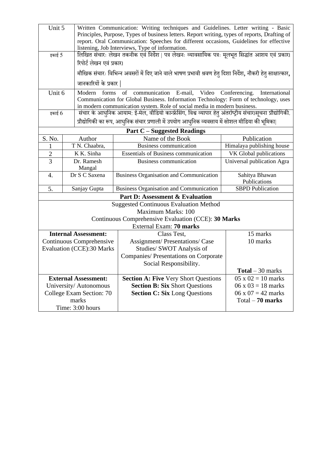| Unit 5                                                                                                      |                                  | Written Communication: Writing techniques and Guidelines. Letter writing - Basic                                                                                                           |                                |  |  |  |  |
|-------------------------------------------------------------------------------------------------------------|----------------------------------|--------------------------------------------------------------------------------------------------------------------------------------------------------------------------------------------|--------------------------------|--|--|--|--|
|                                                                                                             |                                  | Principles, Purpose, Types of business letters. Report writing, types of reports, Drafting of                                                                                              |                                |  |  |  |  |
|                                                                                                             |                                  | report. Oral Communication: Speeches for different occasions, Guidelines for effective<br>listening, Job Interviews, Type of information.                                                  |                                |  |  |  |  |
| लिखित संचारः लेखन तकनीक एवं निर्देश   पत्र लेखनः व्यावसायिक पत्रः मूलभूत सिद्धांत आशय एवं प्रकार।<br>इकाई 5 |                                  |                                                                                                                                                                                            |                                |  |  |  |  |
|                                                                                                             | रिपोर्ट लेखन एवं प्रकार।         |                                                                                                                                                                                            |                                |  |  |  |  |
|                                                                                                             |                                  | मौखिक संचारः विभिन्न अवसरों में दिए जाने वाले भाषण प्रभावी श्रवण हेतु दिशा निर्देश, नौकरी हेतु साक्षात्कार,                                                                                |                                |  |  |  |  |
|                                                                                                             |                                  |                                                                                                                                                                                            |                                |  |  |  |  |
|                                                                                                             | जानकारियों के प्रकार             |                                                                                                                                                                                            |                                |  |  |  |  |
| Unit 6                                                                                                      | Modern forms                     | communication E-mail, Video Conferencing.<br>of                                                                                                                                            | International                  |  |  |  |  |
|                                                                                                             |                                  | Communication for Global Business. Information Technology: Form of technology, uses                                                                                                        |                                |  |  |  |  |
| इकाई $6$                                                                                                    |                                  | in modern communication system. Role of social media in modern business.<br>संचार के आधुनिक आयाम: ई-मेल, वीडियो कान्फ्रेंसिंग, विश्व व्यापार हेतु अंतर्राष्ट्रीय संचार।सूचना प्रौद्योगिकी. |                                |  |  |  |  |
|                                                                                                             |                                  |                                                                                                                                                                                            |                                |  |  |  |  |
|                                                                                                             |                                  | प्रौद्योगिकी का रूप, आधुनिक संचार प्रणाली में उपयोग आधुनिक व्यवसाय में सोशल मीडिया की भूमिका                                                                                               |                                |  |  |  |  |
|                                                                                                             |                                  | <b>Part C</b> – Suggested Readings                                                                                                                                                         |                                |  |  |  |  |
| S. No.                                                                                                      | Author                           | Name of the Book                                                                                                                                                                           | Publication                    |  |  |  |  |
| 1                                                                                                           | T N. Chaabra,                    | Business communication                                                                                                                                                                     | Himalaya publishing house      |  |  |  |  |
| $\overline{2}$                                                                                              | K K. Sinha                       | <b>Essentials of Business communication</b>                                                                                                                                                | VK Global publications         |  |  |  |  |
| $\overline{3}$                                                                                              | Dr. Ramesh                       | Business communication                                                                                                                                                                     | Universal publication Agra     |  |  |  |  |
|                                                                                                             | Mangal<br>Dr S C Saxena          |                                                                                                                                                                                            |                                |  |  |  |  |
| 4.                                                                                                          |                                  | <b>Business Organisation and Communication</b>                                                                                                                                             | Sahitya Bhawan<br>Publications |  |  |  |  |
| 5.<br>Sanjay Gupta                                                                                          |                                  | <b>Business Organisation and Communication</b>                                                                                                                                             | <b>SBPD Publication</b>        |  |  |  |  |
|                                                                                                             |                                  | <b>Part D: Assessment &amp; Evaluation</b>                                                                                                                                                 |                                |  |  |  |  |
|                                                                                                             |                                  | <b>Suggested Continuous Evaluation Method</b>                                                                                                                                              |                                |  |  |  |  |
|                                                                                                             |                                  | <b>Maximum Marks: 100</b>                                                                                                                                                                  |                                |  |  |  |  |
|                                                                                                             |                                  | Continuous Comprehensive Evaluation (CCE): 30 Marks                                                                                                                                        |                                |  |  |  |  |
|                                                                                                             |                                  | External Exam: 70 marks                                                                                                                                                                    |                                |  |  |  |  |
|                                                                                                             | <b>Internal Assessment:</b>      | Class Test,                                                                                                                                                                                | 15 marks                       |  |  |  |  |
|                                                                                                             | Continuous Comprehensive         | <b>Assignment/Presentations/Case</b>                                                                                                                                                       | 10 marks                       |  |  |  |  |
|                                                                                                             | <b>Evaluation (CCE):30 Marks</b> | Studies/ SWOT Analysis of                                                                                                                                                                  |                                |  |  |  |  |
|                                                                                                             |                                  | Companies/ Presentations on Corporate                                                                                                                                                      |                                |  |  |  |  |
|                                                                                                             |                                  | Social Responsibility.                                                                                                                                                                     |                                |  |  |  |  |
|                                                                                                             |                                  |                                                                                                                                                                                            | <b>Total</b> $-30$ marks       |  |  |  |  |
| <b>External Assessment:</b>                                                                                 |                                  | <b>Section A: Five Very Short Questions</b>                                                                                                                                                | $05 \times 02 = 10$ marks      |  |  |  |  |
|                                                                                                             | University/Autonomous            | <b>Section B: Six Short Questions</b>                                                                                                                                                      | $06 \times 03 = 18$ marks      |  |  |  |  |
|                                                                                                             | College Exam Section: 70         | <b>Section C: Six Long Questions</b>                                                                                                                                                       | $06 \times 07 = 42$ marks      |  |  |  |  |
|                                                                                                             | marks                            |                                                                                                                                                                                            | $Total - 70 marks$             |  |  |  |  |
|                                                                                                             | Time: 3:00 hours                 |                                                                                                                                                                                            |                                |  |  |  |  |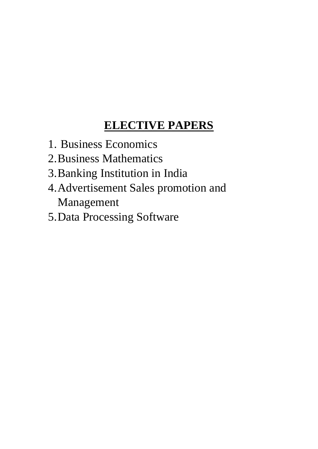#### **ELECTIVE PAPERS**

- 1. Business Economics
- 2.Business Mathematics
- 3.Banking Institution in India
- 4.Advertisement Sales promotion and Management
- 5.Data Processing Software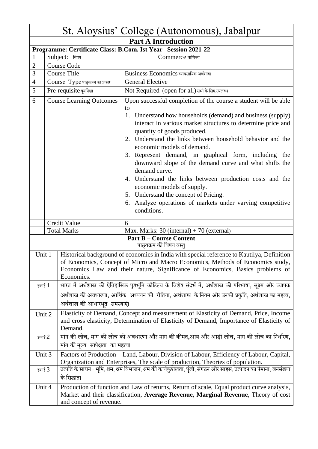|                                      | St. Aloysius' College (Autonomous), Jabalpur                                                                                                                                         |                                     |                                                                                                                                                                                                                                                                                                                                                                                                                                                                                                                                                                                                                                                                                     |  |  |  |
|--------------------------------------|--------------------------------------------------------------------------------------------------------------------------------------------------------------------------------------|-------------------------------------|-------------------------------------------------------------------------------------------------------------------------------------------------------------------------------------------------------------------------------------------------------------------------------------------------------------------------------------------------------------------------------------------------------------------------------------------------------------------------------------------------------------------------------------------------------------------------------------------------------------------------------------------------------------------------------------|--|--|--|
|                                      | <b>Part A Introduction</b>                                                                                                                                                           |                                     |                                                                                                                                                                                                                                                                                                                                                                                                                                                                                                                                                                                                                                                                                     |  |  |  |
|                                      | Programme: Certificate Class: B.Com. Ist Year Session 2021-22                                                                                                                        |                                     |                                                                                                                                                                                                                                                                                                                                                                                                                                                                                                                                                                                                                                                                                     |  |  |  |
| $\mathbf{1}$                         |                                                                                                                                                                                      | Subject: विषय                       | Commerce बाणिज्य                                                                                                                                                                                                                                                                                                                                                                                                                                                                                                                                                                                                                                                                    |  |  |  |
| $\overline{2}$                       |                                                                                                                                                                                      | <b>Course Code</b>                  |                                                                                                                                                                                                                                                                                                                                                                                                                                                                                                                                                                                                                                                                                     |  |  |  |
| 3                                    |                                                                                                                                                                                      | <b>Course Title</b>                 | Business Economics व्यावसायिक अर्थशास्त्र                                                                                                                                                                                                                                                                                                                                                                                                                                                                                                                                                                                                                                           |  |  |  |
| $\overline{4}$                       |                                                                                                                                                                                      | Course Type पाठ्यक्रम का प्रकार     | <b>General Elective</b>                                                                                                                                                                                                                                                                                                                                                                                                                                                                                                                                                                                                                                                             |  |  |  |
| 5                                    |                                                                                                                                                                                      | Pre-requisite पूर्वापेक्षा          | Not Required (open for all) सभी के लिए उपलब्ध                                                                                                                                                                                                                                                                                                                                                                                                                                                                                                                                                                                                                                       |  |  |  |
| 6<br><b>Course Learning Outcomes</b> |                                                                                                                                                                                      |                                     | Upon successful completion of the course a student will be able<br>to<br>1. Understand how households (demand) and business (supply)<br>interact in various market structures to determine price and<br>quantity of goods produced.<br>2. Understand the links between household behavior and the<br>economic models of demand.<br>3. Represent demand, in graphical form, including the<br>downward slope of the demand curve and what shifts the<br>demand curve.<br>4. Understand the links between production costs and the<br>economic models of supply.<br>5. Understand the concept of Pricing.<br>6. Analyze operations of markets under varying competitive<br>conditions. |  |  |  |
|                                      |                                                                                                                                                                                      | Credit Value                        | 6                                                                                                                                                                                                                                                                                                                                                                                                                                                                                                                                                                                                                                                                                   |  |  |  |
|                                      |                                                                                                                                                                                      | <b>Total Marks</b>                  | Max. Marks: 30 (internal) + 70 (external)                                                                                                                                                                                                                                                                                                                                                                                                                                                                                                                                                                                                                                           |  |  |  |
|                                      |                                                                                                                                                                                      |                                     | <b>Part B - Course Content</b><br>पाठ्यक्रम की विषय वस्तु                                                                                                                                                                                                                                                                                                                                                                                                                                                                                                                                                                                                                           |  |  |  |
| Unit 1                               |                                                                                                                                                                                      | Economics.                          | Historical background of economics in India with special reference to Kautilya, Definition<br>of Economics, Concept of Micro and Macro Economics, Methods of Economics study,<br>Economics Law and their nature, Significance of Economics, Basics problems of                                                                                                                                                                                                                                                                                                                                                                                                                      |  |  |  |
| इकाई 1                               |                                                                                                                                                                                      |                                     | भारत में अर्थशास्त्र की ऐतिहासिक पृष्ठभूमि कौटिल्य के विशेष संदर्भ में, अर्थशास्त्र की परिभाषा, सूक्ष्म और व्यापक                                                                                                                                                                                                                                                                                                                                                                                                                                                                                                                                                                   |  |  |  |
|                                      |                                                                                                                                                                                      | अर्थशास्त्र की आधारभूत समस्याएं।    | अर्थशास्त्र की अवधारणा, आर्थिक  अध्ययन की  रीतिया, अर्थशास्त्र  के नियम और उनकी प्रकृति, अर्थशास्त्र का महत्व,                                                                                                                                                                                                                                                                                                                                                                                                                                                                                                                                                                      |  |  |  |
| Unit 2                               |                                                                                                                                                                                      | Demand.                             | Elasticity of Demand, Concept and measurement of Elasticity of Demand, Price, Income<br>and cross elasticity, Determination of Elasticity of Demand, Importance of Elasticity of                                                                                                                                                                                                                                                                                                                                                                                                                                                                                                    |  |  |  |
| इकाई 2                               |                                                                                                                                                                                      | मांग की मूल्य  सापेक्षता  का महत्व। | मांग की लोच, मांग की लोच की अवधारणा और मांग की कीमत,आय और आड़ी लोच, मांग की लोच का निर्धारण,                                                                                                                                                                                                                                                                                                                                                                                                                                                                                                                                                                                        |  |  |  |
|                                      | Unit 3<br>Factors of Production - Land, Labour, Division of Labour, Efficiency of Labour, Capital,<br>Organization and Enterprises, The scale of production, Theories of population. |                                     |                                                                                                                                                                                                                                                                                                                                                                                                                                                                                                                                                                                                                                                                                     |  |  |  |
|                                      | उत्पति के साधन - भूमि, श्रम, श्रम विभाजन, श्रम की कार्यकुशलता, पूंजी, संगठन और साहस, उत्पादन का पैमाना, जनसंख्या<br>इकाई $3$<br>के सिद्धांत।                                         |                                     |                                                                                                                                                                                                                                                                                                                                                                                                                                                                                                                                                                                                                                                                                     |  |  |  |
| Unit 4                               |                                                                                                                                                                                      | and concept of revenue.             | Production of function and Law of returns, Return of scale, Equal product curve analysis,<br>Market and their classification, Average Revenue, Marginal Revenue, Theory of cost                                                                                                                                                                                                                                                                                                                                                                                                                                                                                                     |  |  |  |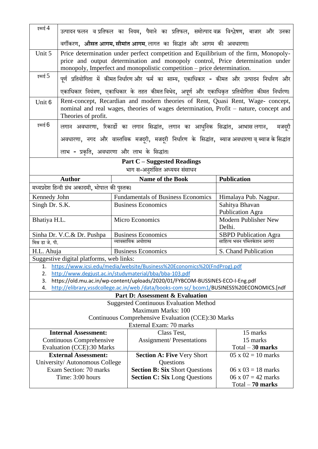| इकाई $4$                                           |                                                                                   |                                           | उत्पादन फलन  व प्रतिफल  का  नियम,  पैमाने  का  प्रतिफल,  समोत्पाद वक्र  विश्लेषण,  बाजार  और  उनका                                                                                                                                                |                                       |  |  |
|----------------------------------------------------|-----------------------------------------------------------------------------------|-------------------------------------------|---------------------------------------------------------------------------------------------------------------------------------------------------------------------------------------------------------------------------------------------------|---------------------------------------|--|--|
|                                                    | वर्गीकरण, औसत आगम, सीमांत आगम, लागत  का  सिद्धांत  और  आगम  की  अवधारणा।          |                                           |                                                                                                                                                                                                                                                   |                                       |  |  |
| Unit 5                                             |                                                                                   |                                           | Price determination under perfect competition and Equilibrium of the firm, Monopoly-<br>price and output determination and monopoly control, Price determination under<br>monopoly, Imperfect and monopolistic competition - price determination. |                                       |  |  |
| इकाई $5$                                           |                                                                                   |                                           | पूर्ण प्रतियोगिता में कीमत-निर्धारण-और फर्म का साम्य, एकाधिकार - कीमत और उत्पादन निर्धारण और                                                                                                                                                      |                                       |  |  |
|                                                    |                                                                                   |                                           | एकाधिकार नियंत्रण, एकाधिकार के तहत कीमत।विभेद, अपूर्ण और एकाधिकृत प्रतियोगिता कीमत निर्धारण।                                                                                                                                                      |                                       |  |  |
| Unit 6                                             | Theories of profit.                                                               |                                           | Rent-concept, Recardian and modern theories of Rent, Quasi Rent, Wage-concept,<br>nominal and real wages, theories of wages determination, Profit – nature, concept and                                                                           |                                       |  |  |
| इकाई 6                                             |                                                                                   |                                           | लगान अवधारणा, रिकार्डो का लगान सिद्धांत, लगान का आधुनिक सिद्धांत, आभासलनगान,                                                                                                                                                                      | मजदरी                                 |  |  |
|                                                    |                                                                                   |                                           | अवधारणा, नगद और वास्तविक मजदूरी, मजदूरी निर्धारण के सिद्धांत, ब्याजअवधारणा व् ब्याजके सिद्धांत                                                                                                                                                    |                                       |  |  |
|                                                    | लाभ - प्रकृति, अवधारणा और लाभ के सिद्धांत।                                        |                                           |                                                                                                                                                                                                                                                   |                                       |  |  |
|                                                    |                                                                                   |                                           | <b>Part C</b> – Suggested Readings                                                                                                                                                                                                                |                                       |  |  |
|                                                    | <b>Author</b>                                                                     |                                           | भाग स-अनुशंसित अध्ययन संसाधन<br><b>Name of the Book</b>                                                                                                                                                                                           | <b>Publication</b>                    |  |  |
|                                                    | मध्यप्रदेश हिन्दी ग्रंथ अकादमी, भोपाल की पुस्तका                                  |                                           |                                                                                                                                                                                                                                                   |                                       |  |  |
| Kennedy John                                       |                                                                                   | <b>Fundamentals of Business Economics</b> |                                                                                                                                                                                                                                                   | Himalaya Pub. Nagpur.                 |  |  |
| Singh Dr. S.K.                                     |                                                                                   | <b>Business Economics</b>                 |                                                                                                                                                                                                                                                   | Sahitya Bhavan                        |  |  |
|                                                    |                                                                                   |                                           |                                                                                                                                                                                                                                                   | <b>Publication Agra</b>               |  |  |
| Bhatiya H.L.                                       |                                                                                   |                                           | Micro Economics                                                                                                                                                                                                                                   | <b>Modern Publisher New</b><br>Delhi. |  |  |
|                                                    | Sinha Dr. V.C.& Dr. Pushpa                                                        |                                           | <b>Business Economics</b>                                                                                                                                                                                                                         | <b>SBPD Publication Agra</b>          |  |  |
| मिश्र डा जे. पी.                                   |                                                                                   |                                           | व्यावसायिक अर्थशास्त्र                                                                                                                                                                                                                            | साहित्य भवन पब्लिकेशन आगरा            |  |  |
| H.L. Ahuja                                         |                                                                                   |                                           | S. Chand Publication<br><b>Business Economics</b>                                                                                                                                                                                                 |                                       |  |  |
|                                                    | Suggestive digital platforms, web links:                                          |                                           |                                                                                                                                                                                                                                                   |                                       |  |  |
| 1.<br>2.                                           |                                                                                   |                                           | https://www.icsi.edu/media/website/Business%20Economics%20(FndProg).pdf<br>http://www.degjust.ac.in/studymaterial/bba/bba-103.pdf                                                                                                                 |                                       |  |  |
| 3.                                                 |                                                                                   |                                           | https://old.mu.ac.in/wp-content/uploads/2020/01/FYBCOM-BUSSINES-ECO-I-Eng.pdf                                                                                                                                                                     |                                       |  |  |
| 4.                                                 |                                                                                   |                                           | http://elibrary,vssdcollege.ac.in/web/data/books-com sc/ bcom1/BUSINESS%20ECONOMICS.[ndf                                                                                                                                                          |                                       |  |  |
|                                                    |                                                                                   |                                           | <b>Part D: Assessment &amp; Evaluation</b>                                                                                                                                                                                                        |                                       |  |  |
|                                                    |                                                                                   |                                           | <b>Suggested Continuous Evaluation Method</b>                                                                                                                                                                                                     |                                       |  |  |
| Maximum Marks: 100                                 |                                                                                   |                                           |                                                                                                                                                                                                                                                   |                                       |  |  |
| Continuous Comprehensive Evaluation (CCE):30 Marks |                                                                                   |                                           |                                                                                                                                                                                                                                                   |                                       |  |  |
|                                                    | External Exam: 70 marks<br><b>Internal Assessment:</b><br>Class Test,<br>15 marks |                                           |                                                                                                                                                                                                                                                   |                                       |  |  |
| Continuous Comprehensive                           |                                                                                   | <b>Assignment/Presentations</b>           | 15 marks                                                                                                                                                                                                                                          |                                       |  |  |
| Evaluation (CCE):30 Marks                          |                                                                                   |                                           |                                                                                                                                                                                                                                                   | $Total - 30$ marks                    |  |  |
|                                                    | <b>External Assessment:</b>                                                       |                                           | <b>Section A: Five Very Short</b>                                                                                                                                                                                                                 | $05 \times 02 = 10$ marks             |  |  |
|                                                    | University/Autonomous College                                                     |                                           | Questions                                                                                                                                                                                                                                         |                                       |  |  |
|                                                    | Exam Section: 70 marks                                                            |                                           | <b>Section B: Six Short Questions</b>                                                                                                                                                                                                             | $06 \times 03 = 18$ marks             |  |  |
|                                                    | Time: 3:00 hours                                                                  |                                           | <b>Section C: Six Long Questions</b>                                                                                                                                                                                                              | $06 \times 07 = 42$ marks             |  |  |
|                                                    | $Total - 70 marks$                                                                |                                           |                                                                                                                                                                                                                                                   |                                       |  |  |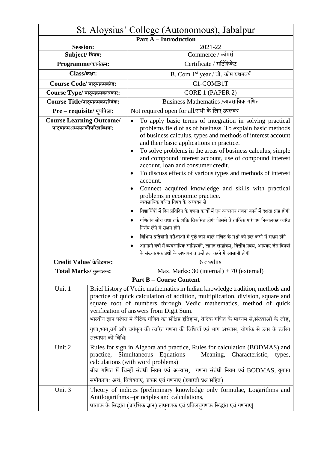| St. Aloysius' College (Autonomous), Jabalpur                     |                                                                                                                                                                                                                                                                                                                                                                                                                                                                                                           |                                                                                                                                                                                                                                                                                                                                                                                                                                                                                                                                                                                                                                                                                                                                                                                                                                                                                                                                                                                                                                                              |  |  |
|------------------------------------------------------------------|-----------------------------------------------------------------------------------------------------------------------------------------------------------------------------------------------------------------------------------------------------------------------------------------------------------------------------------------------------------------------------------------------------------------------------------------------------------------------------------------------------------|--------------------------------------------------------------------------------------------------------------------------------------------------------------------------------------------------------------------------------------------------------------------------------------------------------------------------------------------------------------------------------------------------------------------------------------------------------------------------------------------------------------------------------------------------------------------------------------------------------------------------------------------------------------------------------------------------------------------------------------------------------------------------------------------------------------------------------------------------------------------------------------------------------------------------------------------------------------------------------------------------------------------------------------------------------------|--|--|
|                                                                  | <b>Part A - Introduction</b>                                                                                                                                                                                                                                                                                                                                                                                                                                                                              |                                                                                                                                                                                                                                                                                                                                                                                                                                                                                                                                                                                                                                                                                                                                                                                                                                                                                                                                                                                                                                                              |  |  |
| <b>Session:</b>                                                  |                                                                                                                                                                                                                                                                                                                                                                                                                                                                                                           | 2021-22                                                                                                                                                                                                                                                                                                                                                                                                                                                                                                                                                                                                                                                                                                                                                                                                                                                                                                                                                                                                                                                      |  |  |
| Subject/ विषय:                                                   |                                                                                                                                                                                                                                                                                                                                                                                                                                                                                                           | Commerce / कॉमर्स                                                                                                                                                                                                                                                                                                                                                                                                                                                                                                                                                                                                                                                                                                                                                                                                                                                                                                                                                                                                                                            |  |  |
| Programme/कार्यक्रम:                                             |                                                                                                                                                                                                                                                                                                                                                                                                                                                                                                           | Certificate / सर्टिफिकेट                                                                                                                                                                                                                                                                                                                                                                                                                                                                                                                                                                                                                                                                                                                                                                                                                                                                                                                                                                                                                                     |  |  |
| Class/कक्षा:                                                     |                                                                                                                                                                                                                                                                                                                                                                                                                                                                                                           | B. Com 1st year / बी. कॉम प्रथमवर्ष                                                                                                                                                                                                                                                                                                                                                                                                                                                                                                                                                                                                                                                                                                                                                                                                                                                                                                                                                                                                                          |  |  |
| Course Code/ पाठ्यक्रमकोड:                                       |                                                                                                                                                                                                                                                                                                                                                                                                                                                                                                           | C1-COMB1T                                                                                                                                                                                                                                                                                                                                                                                                                                                                                                                                                                                                                                                                                                                                                                                                                                                                                                                                                                                                                                                    |  |  |
| Course Type/ पाठ्यक्रमकाप्रकार:                                  |                                                                                                                                                                                                                                                                                                                                                                                                                                                                                                           | CORE 1 (PAPER 2)                                                                                                                                                                                                                                                                                                                                                                                                                                                                                                                                                                                                                                                                                                                                                                                                                                                                                                                                                                                                                                             |  |  |
| Course Title/पाठ्यक्रमकाशीर्षक:                                  |                                                                                                                                                                                                                                                                                                                                                                                                                                                                                                           | Business Mathematics /व्यवसायिक गणित                                                                                                                                                                                                                                                                                                                                                                                                                                                                                                                                                                                                                                                                                                                                                                                                                                                                                                                                                                                                                         |  |  |
| Pre - requisite/ पूर्वापेक्षा:                                   |                                                                                                                                                                                                                                                                                                                                                                                                                                                                                                           | Not required open for all/सभी के लिए उपलब्ध                                                                                                                                                                                                                                                                                                                                                                                                                                                                                                                                                                                                                                                                                                                                                                                                                                                                                                                                                                                                                  |  |  |
| <b>Course Learning Outcome/</b><br>पाठ्यक्रमअध्ययनकीपरिलब्धियां: |                                                                                                                                                                                                                                                                                                                                                                                                                                                                                                           | To apply basic terms of integration in solving practical<br>$\bullet$<br>problems field of as of business. To explain basic methods<br>of business calculus, types and methods of interest account<br>and their basic applications in practice.<br>To solve problems in the areas of business calculus, simple<br>and compound interest account, use of compound interest<br>account, loan and consumer credit.<br>To discuss effects of various types and methods of interest<br>$\bullet$<br>account.<br>Connect acquired knowledge and skills with practical<br>problems in economic practice.<br>व्यवसायिक गणित विषय के अध्ययन से<br>विद्यार्थियों में दिन प्रतिदिन के गणना कार्यों में एवं व्यवसाय गणना कार्य में दक्षता प्राप्त होगी<br>$\bullet$<br>गणितीय सोच तथा तर्क शक्ति विकसित होगी जिससे वे तार्किक परिणाम निकालकर त्वरित<br>निर्णय लेने में सक्षम होंगे<br>विभिन्न प्रतियोगी परीक्षाओं में पूछे जाने वाले गणित के प्रश्नों को हल करने में सक्षम होंगे<br>आगामी वर्षों में व्यवसायिक सांख्यिकी, लागत लेखांकन, वित्तीय प्रबंध, आयकर जैसे विषयों |  |  |
| Credit Value/ क्रेडिटमान:                                        |                                                                                                                                                                                                                                                                                                                                                                                                                                                                                                           | के संख्यात्मक प्रश्नों के अध्ययन व उन्हें हल करने में आसानी होगी<br>6 credits                                                                                                                                                                                                                                                                                                                                                                                                                                                                                                                                                                                                                                                                                                                                                                                                                                                                                                                                                                                |  |  |
| Total Marks/ कुलअंक:                                             |                                                                                                                                                                                                                                                                                                                                                                                                                                                                                                           | Max. Marks: $30$ (internal) + 70 (external)                                                                                                                                                                                                                                                                                                                                                                                                                                                                                                                                                                                                                                                                                                                                                                                                                                                                                                                                                                                                                  |  |  |
|                                                                  |                                                                                                                                                                                                                                                                                                                                                                                                                                                                                                           | <b>Part B – Course Content</b>                                                                                                                                                                                                                                                                                                                                                                                                                                                                                                                                                                                                                                                                                                                                                                                                                                                                                                                                                                                                                               |  |  |
| Unit 1                                                           | Brief history of Vedic mathematics in Indian knowledge tradition, methods and<br>practice of quick calculation of addition, multiplication, division, square and<br>square root of numbers through Vedic mathematics, method of quick<br>verification of answers from Digit Sum.<br>भारतीय ज्ञान परंपरा में वैदिक गणित का संक्षिप्त इतिहास, वैदिक गणित के माध्यम से,संख्याओं के जोड़,<br>गुणा,भाग,वर्ग और वर्गमूल की त्वरित गणना की विधियाँ एवं भाग अभ्यास, योगांक से उत्तर के त्वरित<br>सत्यापन की विधि। |                                                                                                                                                                                                                                                                                                                                                                                                                                                                                                                                                                                                                                                                                                                                                                                                                                                                                                                                                                                                                                                              |  |  |
| Unit 2                                                           | practice,                                                                                                                                                                                                                                                                                                                                                                                                                                                                                                 | Rules for sign in Algebra and practice, Rules for calculation (BODMAS) and<br>Simultaneous Equations – Meaning, Characteristic,<br>types,<br>calculations (with word problems)<br>बीज गणित में चिन्हों संबंधी नियम एवं अभ्यास, गणना संबंधी नियम एवं BODMAS, युगपत<br>समीकरण: अर्थ, विशेषताएं, प्रकार एवं गणनाए (इबारती प्रश्न सहित)                                                                                                                                                                                                                                                                                                                                                                                                                                                                                                                                                                                                                                                                                                                          |  |  |
| Unit 3                                                           |                                                                                                                                                                                                                                                                                                                                                                                                                                                                                                           | Theory of indices (preliminary knowledge only formulae, Logarithms and<br>Antilogarithms -principles and calculations,<br>घातांक के सिद्धांत (प्रारंभिक ज्ञान) लघुगणक एवं प्रतिलघुगणक सिद्धांत एवं गणनाए                                                                                                                                                                                                                                                                                                                                                                                                                                                                                                                                                                                                                                                                                                                                                                                                                                                     |  |  |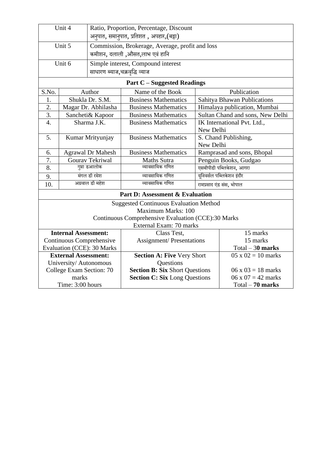| Unit 4                                     |                          |                               | Ratio, Proportion, Percentage, Discount<br>अनुपात, समानुपात, प्रतिशत , अपहार, (बट्टा) |           |                                   |  |
|--------------------------------------------|--------------------------|-------------------------------|---------------------------------------------------------------------------------------|-----------|-----------------------------------|--|
| Unit 5                                     |                          |                               | Commission, Brokerage, Average, profit and loss                                       |           |                                   |  |
| कमीशन, दलाली ,औसत,लाभ एवं हानि             |                          |                               |                                                                                       |           |                                   |  |
|                                            | Unit 6                   |                               | Simple interest, Compound interest                                                    |           |                                   |  |
|                                            |                          | साधारण ब्याज,चक्रवृद्धि व्याज |                                                                                       |           |                                   |  |
|                                            |                          |                               | <b>Part C</b> – Suggested Readings                                                    |           |                                   |  |
| S.No.                                      |                          | Author                        | Name of the Book                                                                      |           | Publication                       |  |
| 1.                                         |                          | Shukla Dr. S.M.               | <b>Business Mathematics</b>                                                           |           | Sahitya Bhawan Publications       |  |
| 2.                                         |                          | Magar Dr. Abhilasha           | <b>Business Mathematics</b>                                                           |           | Himalaya publication, Mumbai      |  |
| 3.                                         |                          | Sancheti& Kapoor              | <b>Business Mathematics</b>                                                           |           | Sultan Chand and sons, New Delhi  |  |
| $\overline{4}$ .                           | Sharma J.K.              |                               | <b>Business Mathematics</b>                                                           | New Delhi | IK International Pvt. Ltd.,       |  |
| 5.                                         | Kumar Mrityunjay         |                               | <b>Business Mathematics</b>                                                           |           | S. Chand Publishing,<br>New Delhi |  |
| 6.                                         | <b>Agrawal Dr Mahesh</b> |                               | <b>Business Mathematics</b>                                                           |           | Ramprasad and sons, Bhopal        |  |
| 7.                                         | Gourav Tekriwal          |                               | <b>Maths Sutra</b>                                                                    |           | Penguin Books, Gudgao             |  |
| 8.                                         | गुप्ता डआलोक             |                               | व्यावसायिक गणित                                                                       |           | एसबीपीडी पब्लिकेशन, आगरा          |  |
| 9.                                         | मंगल डॉ रमेश             |                               | व्यावसायिक गणित                                                                       |           | यनिवर्सल पब्लिकेशन इंदौर          |  |
| 10.                                        | अग्रवाल डॉ महेश          |                               | व्यावसायिक गणित                                                                       |           | रामप्रसाद एंड संस, भोपाल          |  |
| <b>Part D: Assessment &amp; Evaluation</b> |                          |                               |                                                                                       |           |                                   |  |
|                                            |                          |                               | <b>Suggested Continuous Evaluation Method</b>                                         |           |                                   |  |
| Maximum Marks: 100                         |                          |                               |                                                                                       |           |                                   |  |
|                                            |                          |                               | Continuous Comprehensive Evaluation (CCE):30 Marks                                    |           |                                   |  |
| External Exam: 70 marks                    |                          |                               |                                                                                       |           |                                   |  |
| <b>Internal Assessment:</b>                |                          |                               | Class Test,                                                                           |           | 15 marks                          |  |
| Continuous Comprehensive                   |                          |                               | <b>Assignment/Presentations</b>                                                       |           | 15 marks                          |  |
| Evaluation (CCE): 30 Marks                 |                          |                               |                                                                                       |           | $Total - 30$ marks                |  |
| <b>External Assessment:</b>                |                          |                               | <b>Section A: Five Very Short</b>                                                     |           | $05 \times 02 = 10 \text{ marks}$ |  |
| University/Autonomous                      |                          |                               | Questions                                                                             |           |                                   |  |
| College Exam Section: 70                   |                          |                               | <b>Section B: Six Short Questions</b>                                                 |           | $06 \times 03 = 18$ marks         |  |
| marks                                      |                          |                               | <b>Section C: Six Long Questions</b>                                                  |           | $06 \times 07 = 42$ marks         |  |
| Time: 3:00 hours                           |                          |                               |                                                                                       |           | $Total - 70 marks$                |  |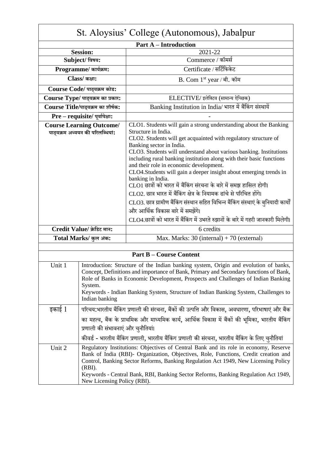| St. Aloysius' College (Autonomous), Jabalpur                        |                                                                                                                                                                                                                                                                                                                                                                                                     |                                                                                                                                                                                                                                                                                                                                                                                                                                                                                                                                                                                                                                                                                                                                                           |  |
|---------------------------------------------------------------------|-----------------------------------------------------------------------------------------------------------------------------------------------------------------------------------------------------------------------------------------------------------------------------------------------------------------------------------------------------------------------------------------------------|-----------------------------------------------------------------------------------------------------------------------------------------------------------------------------------------------------------------------------------------------------------------------------------------------------------------------------------------------------------------------------------------------------------------------------------------------------------------------------------------------------------------------------------------------------------------------------------------------------------------------------------------------------------------------------------------------------------------------------------------------------------|--|
|                                                                     |                                                                                                                                                                                                                                                                                                                                                                                                     | <b>Part A – Introduction</b>                                                                                                                                                                                                                                                                                                                                                                                                                                                                                                                                                                                                                                                                                                                              |  |
|                                                                     | <b>Session:</b>                                                                                                                                                                                                                                                                                                                                                                                     | 2021-22                                                                                                                                                                                                                                                                                                                                                                                                                                                                                                                                                                                                                                                                                                                                                   |  |
|                                                                     | Subject/ विषय:                                                                                                                                                                                                                                                                                                                                                                                      | Commerce / कॉमर्स                                                                                                                                                                                                                                                                                                                                                                                                                                                                                                                                                                                                                                                                                                                                         |  |
|                                                                     | Programme/ कार्यक्रम:                                                                                                                                                                                                                                                                                                                                                                               | Certificate / सर्टिफिकेट                                                                                                                                                                                                                                                                                                                                                                                                                                                                                                                                                                                                                                                                                                                                  |  |
|                                                                     | Class/ कक्षा:                                                                                                                                                                                                                                                                                                                                                                                       | B. Com 1 <sup>st</sup> year / बी. कॉम                                                                                                                                                                                                                                                                                                                                                                                                                                                                                                                                                                                                                                                                                                                     |  |
|                                                                     | Course Code/ पाठ्यक्रम कोड:                                                                                                                                                                                                                                                                                                                                                                         |                                                                                                                                                                                                                                                                                                                                                                                                                                                                                                                                                                                                                                                                                                                                                           |  |
|                                                                     | Course Type/ पाठ्यक्रम का प्रकार:                                                                                                                                                                                                                                                                                                                                                                   | ELECTIVE/ इलेक्टिव (सामान्य ऐच्छिक)                                                                                                                                                                                                                                                                                                                                                                                                                                                                                                                                                                                                                                                                                                                       |  |
|                                                                     | Course Title/पाठ्यक्रम का शीर्षक:                                                                                                                                                                                                                                                                                                                                                                   | Banking Institution in India/ भारत में बैंकिंग संस्थायें                                                                                                                                                                                                                                                                                                                                                                                                                                                                                                                                                                                                                                                                                                  |  |
|                                                                     | Pre - requisite/ पूर्वापेक्षा:                                                                                                                                                                                                                                                                                                                                                                      |                                                                                                                                                                                                                                                                                                                                                                                                                                                                                                                                                                                                                                                                                                                                                           |  |
| <b>Course Learning Outcome/</b><br>पाठ्यक्रम अध्ययन की परिलब्धियां: |                                                                                                                                                                                                                                                                                                                                                                                                     | CLO1. Students will gain a strong understanding about the Banking<br>Structure in India.<br>CLO2. Students will get acquainted with regulatory structure of<br>Banking sector in India.<br>CLO3. Students will understand about various banking. Institutions<br>including rural banking institution along with their basic functions<br>and their role in economic development.<br>CLO4. Students will gain a deeper insight about emerging trends in<br>banking in India.<br>CLO1 छात्रों को भारत में बैंकिंग संरचना के बारे में समझ हासिल होगी।<br>CLO2. छात्र भारत में बैंकिंग क्षेत्र के नियामक ढांचे से परिचित होंगे।<br>CLO3. छात्र ग्रामीण बैंकिंग संस्थान सहित विभिन्न बैंकिंग संस्थाएं के बुनियादी कार्यों<br>और आर्थिक विकास बारे में समझेंगे। |  |
|                                                                     |                                                                                                                                                                                                                                                                                                                                                                                                     | CLO4.छात्रों को भारत में बैंकिंग में उभरते रुझानों के बारे में गहरी जानकारी मिलेगी।                                                                                                                                                                                                                                                                                                                                                                                                                                                                                                                                                                                                                                                                       |  |
|                                                                     | Credit Value/ क्रेडिट मान:                                                                                                                                                                                                                                                                                                                                                                          | 6 credits                                                                                                                                                                                                                                                                                                                                                                                                                                                                                                                                                                                                                                                                                                                                                 |  |
|                                                                     | Total Marks/ कुल अंक:                                                                                                                                                                                                                                                                                                                                                                               | Max. Marks: $30$ (internal) + 70 (external)                                                                                                                                                                                                                                                                                                                                                                                                                                                                                                                                                                                                                                                                                                               |  |
|                                                                     |                                                                                                                                                                                                                                                                                                                                                                                                     | <b>Part B – Course Content</b>                                                                                                                                                                                                                                                                                                                                                                                                                                                                                                                                                                                                                                                                                                                            |  |
|                                                                     |                                                                                                                                                                                                                                                                                                                                                                                                     |                                                                                                                                                                                                                                                                                                                                                                                                                                                                                                                                                                                                                                                                                                                                                           |  |
| Unit 1                                                              | Introduction: Structure of the Indian banking system, Origin and evolution of banks,<br>Concept, Definitions and importance of Bank, Primary and Secondary functions of Bank,<br>Role of Banks in Economic Development, Prospects and Challenges of Indian Banking<br>System.<br>Keywords - Indian Banking System, Structure of Indian Banking System, Challenges to<br>Indian banking              |                                                                                                                                                                                                                                                                                                                                                                                                                                                                                                                                                                                                                                                                                                                                                           |  |
| इकाई 1                                                              | परिचय:भारतीय बैंकिंग प्रणाली की संरचना, बैंकों की उत्पत्ति और विकास, अवधारणा, परिभाषाएं और बैंक                                                                                                                                                                                                                                                                                                     |                                                                                                                                                                                                                                                                                                                                                                                                                                                                                                                                                                                                                                                                                                                                                           |  |
|                                                                     | का महत्व, बैंक के प्राथमिक और माध्यमिक कार्य, आर्थिक विकास में बैंकों की भूमिका, भारतीय बैंकिंग<br>प्रणाली की संभावनाएं और चुनौतियां।<br>कीवर्ड - भारतीय बैंकिंग प्रणाली, भारतीय बैंकिंग प्रणाली की संरचना, भारतीय बैंकिंग के लिए चुनौतियां                                                                                                                                                         |                                                                                                                                                                                                                                                                                                                                                                                                                                                                                                                                                                                                                                                                                                                                                           |  |
| Unit 2                                                              | Regulatory Institutions: Objectives of Central Bank and its role in economy, Reserve<br>Bank of India (RBI)- Organization, Objectives, Role, Functions, Credit creation and<br>Control, Banking Sector Reforms, Banking Regulation Act 1949, New Licensing Policy<br>$(RBI)$ .<br>Keywords - Central Bank, RBI, Banking Sector Reforms, Banking Regulation Act 1949,<br>New Licensing Policy (RBI). |                                                                                                                                                                                                                                                                                                                                                                                                                                                                                                                                                                                                                                                                                                                                                           |  |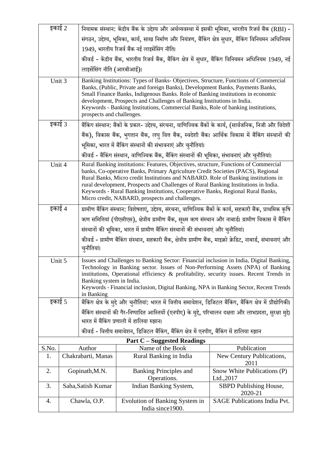| इकाई 2                                                                                                                                                                                                                                                                                                                                                                                                            |                                                                                                                             | नियामक संस्थान: केंद्रीय बैंक के उद्देश्य और अर्थव्यवस्था में इसकी भूमिका, भारतीय रिजर्व बैंक (RBI) -                                                                                                                                                                                                                                                                                                                                                                                       |                                                                                                                                                           |                                           |  |  |
|-------------------------------------------------------------------------------------------------------------------------------------------------------------------------------------------------------------------------------------------------------------------------------------------------------------------------------------------------------------------------------------------------------------------|-----------------------------------------------------------------------------------------------------------------------------|---------------------------------------------------------------------------------------------------------------------------------------------------------------------------------------------------------------------------------------------------------------------------------------------------------------------------------------------------------------------------------------------------------------------------------------------------------------------------------------------|-----------------------------------------------------------------------------------------------------------------------------------------------------------|-------------------------------------------|--|--|
|                                                                                                                                                                                                                                                                                                                                                                                                                   |                                                                                                                             |                                                                                                                                                                                                                                                                                                                                                                                                                                                                                             | संगठन, उद्देश्य, भूमिका, कार्य, साख निर्माण और नियंत्रण, बैंकिंग क्षेत्र सुधार, बैंकिंग विनियमन अधिनियम                                                   |                                           |  |  |
|                                                                                                                                                                                                                                                                                                                                                                                                                   |                                                                                                                             | 1949, भारतीय रिजर्व बैंक नई लाइसेंसिंग नीति।                                                                                                                                                                                                                                                                                                                                                                                                                                                |                                                                                                                                                           |                                           |  |  |
|                                                                                                                                                                                                                                                                                                                                                                                                                   |                                                                                                                             | कीवर्ड - केंद्रीय बैंक, भारतीय रिजर्व बैंक, बैंकिंग क्षेत्र में सुधार, बैंकिंग विनियमन अधिनियम 1949, नई                                                                                                                                                                                                                                                                                                                                                                                     |                                                                                                                                                           |                                           |  |  |
|                                                                                                                                                                                                                                                                                                                                                                                                                   |                                                                                                                             | लाइसेंसिंग नीति (आरबीआई)।                                                                                                                                                                                                                                                                                                                                                                                                                                                                   |                                                                                                                                                           |                                           |  |  |
| Unit 3                                                                                                                                                                                                                                                                                                                                                                                                            |                                                                                                                             | Banking Institutions: Types of Banks-Objectives, Structure, Functions of Commercial<br>Banks, (Public, Private and foreign Banks), Development Banks, Payments Banks,<br>Small Finance Banks, Indigenous Banks. Role of Banking institutions in economic<br>development, Prospects and Challenges of Banking Institutions in India.<br>Keywords - Banking Institutions, Commercial Banks, Role of banking institutions,<br>prospects and challenges.                                        |                                                                                                                                                           |                                           |  |  |
| इकाई 3                                                                                                                                                                                                                                                                                                                                                                                                            |                                                                                                                             |                                                                                                                                                                                                                                                                                                                                                                                                                                                                                             | बैंकिंग संस्थान: बैंकों के प्रकार- उद्देश्य, संरचना, वाणिज्यिक बैंकों के कार्य, (सार्वजनिक, निजी और विदेशी                                                |                                           |  |  |
|                                                                                                                                                                                                                                                                                                                                                                                                                   |                                                                                                                             |                                                                                                                                                                                                                                                                                                                                                                                                                                                                                             | बैंक), विकास बैंक, भुगतान बैंक, लघु वित्त बैंक, स्वदेशी बैंक। आर्थिक विकास में बैंकिंग संस्थानों की                                                       |                                           |  |  |
|                                                                                                                                                                                                                                                                                                                                                                                                                   |                                                                                                                             |                                                                                                                                                                                                                                                                                                                                                                                                                                                                                             | भूमिका, भारत में बैंकिंग संस्थानों की संभावनाएं और चुनौतियां।                                                                                             |                                           |  |  |
|                                                                                                                                                                                                                                                                                                                                                                                                                   |                                                                                                                             |                                                                                                                                                                                                                                                                                                                                                                                                                                                                                             | कीवर्ड - बैंकिंग संस्थान, वाणिज्यिक बैंक, बैंकिंग संस्थानों की भूमिका, संभावनाएं और चुनौतियां।                                                            |                                           |  |  |
| Unit 4                                                                                                                                                                                                                                                                                                                                                                                                            |                                                                                                                             | Rural Banking institutions: Features, Objectives, structure, Functions of Commercial<br>banks, Co-operative Banks, Primary Agriculture Credit Societies (PACS), Regional<br>Rural Banks, Micro credit Institutions and NABARD. Role of Banking institutions in<br>rural development, Prospects and Challenges of Rural Banking Institutions in India.<br>Keywords - Rural Banking Institutions, Cooperative Banks, Regional Rural Banks,<br>Micro credit, NABARD, prospects and challenges. |                                                                                                                                                           |                                           |  |  |
| इकाई 4                                                                                                                                                                                                                                                                                                                                                                                                            |                                                                                                                             | ग्रामीण बैंकिंग संस्थान: विशेषताएं, उद्देश्य, संरचना, वाणिज्यिक बैंकों के कार्य, सहकारी बैंक, प्राथमिक कृषि                                                                                                                                                                                                                                                                                                                                                                                 |                                                                                                                                                           |                                           |  |  |
| ऋण समितियां (पीएसीएस), क्षेत्रीय ग्रामीण बैंक, सूक्ष्म ऋण संस्थान और नाबार्ड। ग्रामीण विकास में बैंकिंग                                                                                                                                                                                                                                                                                                           |                                                                                                                             |                                                                                                                                                                                                                                                                                                                                                                                                                                                                                             |                                                                                                                                                           |                                           |  |  |
| संस्थानों की भूमिका, भारत में ग्रामीण बैंकिंग संस्थानों की संभावनाएं और चुनौतियां।                                                                                                                                                                                                                                                                                                                                |                                                                                                                             |                                                                                                                                                                                                                                                                                                                                                                                                                                                                                             |                                                                                                                                                           |                                           |  |  |
|                                                                                                                                                                                                                                                                                                                                                                                                                   | कीवर्ड - ग्रामीण बैंकिंग संस्थान, सहकारी बैंक, क्षेत्रीय ग्रामीण बैंक, माइक्रो क्रेडिट, नाबार्ड, संभावनाएं और<br>चुनौतियां। |                                                                                                                                                                                                                                                                                                                                                                                                                                                                                             |                                                                                                                                                           |                                           |  |  |
| Unit 5<br>Issues and Challenges to Banking Sector: Financial inclusion in India, Digital Banking,<br>Technology in Banking sector. Issues of Non-Performing Assets (NPA) of Banking<br>institutions, Operational efficiency & profitability, security issues. Recent Trends in<br>Banking system in India.<br>Keywords - Financial inclusion, Digital Banking, NPA in Banking Sector, Recent Trends<br>in Banking |                                                                                                                             |                                                                                                                                                                                                                                                                                                                                                                                                                                                                                             |                                                                                                                                                           |                                           |  |  |
| इकाई 5                                                                                                                                                                                                                                                                                                                                                                                                            |                                                                                                                             |                                                                                                                                                                                                                                                                                                                                                                                                                                                                                             | बैंकिंग क्षेत्र के मुद्दे और चुनौतियां: भारत में वित्तीय समावेशन, डिजिटल बैंकिंग, बैंकिंग क्षेत्र में प्रौद्योगिकी।                                       |                                           |  |  |
|                                                                                                                                                                                                                                                                                                                                                                                                                   |                                                                                                                             |                                                                                                                                                                                                                                                                                                                                                                                                                                                                                             | बैंकिंग संस्थानों की गैर-निष्पादित आस्तियों (एनपीए) के मुद्दे, परिचालन दक्षता और लाभप्रदता, सुरक्षा मुद्दे।<br>भारत में बैंकिंग प्रणाली में हालिया रुझान। |                                           |  |  |
|                                                                                                                                                                                                                                                                                                                                                                                                                   |                                                                                                                             |                                                                                                                                                                                                                                                                                                                                                                                                                                                                                             | कीवर्ड - वित्तीय समावेशन, डिजिटल बैंकिंग, बैंकिंग क्षेत्र में एनपीए, बैंकिंग में हालिया रुझान                                                             |                                           |  |  |
|                                                                                                                                                                                                                                                                                                                                                                                                                   |                                                                                                                             |                                                                                                                                                                                                                                                                                                                                                                                                                                                                                             | <b>Part C</b> – Suggested Readings                                                                                                                        |                                           |  |  |
| S.No.                                                                                                                                                                                                                                                                                                                                                                                                             | Author                                                                                                                      |                                                                                                                                                                                                                                                                                                                                                                                                                                                                                             | Name of the Book                                                                                                                                          | Publication                               |  |  |
| 1.                                                                                                                                                                                                                                                                                                                                                                                                                | Chakrabarti, Manas                                                                                                          |                                                                                                                                                                                                                                                                                                                                                                                                                                                                                             | Rural Banking in India                                                                                                                                    | New Century Publications,<br>2011         |  |  |
| 2.                                                                                                                                                                                                                                                                                                                                                                                                                |                                                                                                                             | Gopinath, M.N.                                                                                                                                                                                                                                                                                                                                                                                                                                                                              | <b>Banking Principles and</b><br>Operations.                                                                                                              | Snow White Publications (P)<br>Ltd., 2017 |  |  |
| 3.                                                                                                                                                                                                                                                                                                                                                                                                                |                                                                                                                             | Saha, Satish Kumar                                                                                                                                                                                                                                                                                                                                                                                                                                                                          | Indian Banking System,                                                                                                                                    | SBPD Publishing House,<br>2020-21         |  |  |
| 4.                                                                                                                                                                                                                                                                                                                                                                                                                | Chawla, O.P.                                                                                                                |                                                                                                                                                                                                                                                                                                                                                                                                                                                                                             | Evolution of Banking System in<br>India since 1900.                                                                                                       | <b>SAGE Publications India Pvt.</b>       |  |  |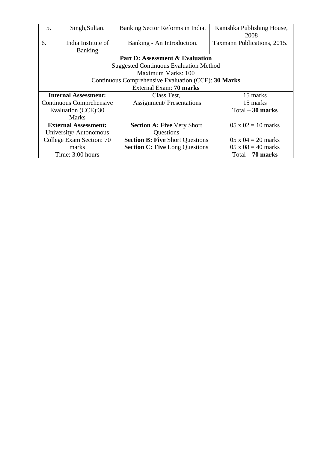| 5.                          | Singh, Sultan.                  | Banking Sector Reforms in India.                    | Kanishka Publishing House,  |  |  |  |
|-----------------------------|---------------------------------|-----------------------------------------------------|-----------------------------|--|--|--|
|                             |                                 |                                                     | 2008                        |  |  |  |
| 6.                          | India Institute of              | Banking - An Introduction.                          | Taxmann Publications, 2015. |  |  |  |
|                             | <b>Banking</b>                  |                                                     |                             |  |  |  |
|                             | Part D: Assessment & Evaluation |                                                     |                             |  |  |  |
|                             |                                 | <b>Suggested Continuous Evaluation Method</b>       |                             |  |  |  |
|                             |                                 | Maximum Marks: 100                                  |                             |  |  |  |
|                             |                                 | Continuous Comprehensive Evaluation (CCE): 30 Marks |                             |  |  |  |
|                             |                                 | External Exam: 70 marks                             |                             |  |  |  |
| <b>Internal Assessment:</b> |                                 | Class Test,                                         | 15 marks                    |  |  |  |
| Continuous Comprehensive    |                                 | <b>Assignment/Presentations</b>                     | 15 marks                    |  |  |  |
| Evaluation (CCE):30         |                                 |                                                     | $Total - 30$ marks          |  |  |  |
|                             | <b>Marks</b>                    |                                                     |                             |  |  |  |
|                             | <b>External Assessment:</b>     | <b>Section A: Five Very Short</b>                   | $05 \times 02 = 10$ marks   |  |  |  |
|                             | University/Autonomous           | Questions                                           |                             |  |  |  |
|                             | College Exam Section: 70        | <b>Section B: Five Short Questions</b>              | $05 \times 04 = 20$ marks   |  |  |  |
|                             | marks                           | <b>Section C: Five Long Questions</b>               | $05 \times 08 = 40$ marks   |  |  |  |
|                             | Time: 3:00 hours                |                                                     | Total $-70$ marks           |  |  |  |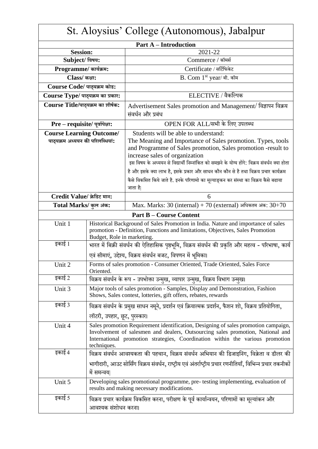| St. Aloysius' College (Autonomous), Jabalpur                        |                                                                                                                                                                                                                                                                                                         |                                                                                                                                                                                                                                                                                                                                                                                                                                                                                                  |  |
|---------------------------------------------------------------------|---------------------------------------------------------------------------------------------------------------------------------------------------------------------------------------------------------------------------------------------------------------------------------------------------------|--------------------------------------------------------------------------------------------------------------------------------------------------------------------------------------------------------------------------------------------------------------------------------------------------------------------------------------------------------------------------------------------------------------------------------------------------------------------------------------------------|--|
|                                                                     |                                                                                                                                                                                                                                                                                                         | <b>Part A – Introduction</b>                                                                                                                                                                                                                                                                                                                                                                                                                                                                     |  |
| <b>Session:</b>                                                     |                                                                                                                                                                                                                                                                                                         | 2021-22                                                                                                                                                                                                                                                                                                                                                                                                                                                                                          |  |
| Subject/ विषय:                                                      |                                                                                                                                                                                                                                                                                                         | Commerce / कॉमर्स                                                                                                                                                                                                                                                                                                                                                                                                                                                                                |  |
| Programme/ कार्यक्रम:                                               |                                                                                                                                                                                                                                                                                                         | Certificate / सर्टिफिकेट                                                                                                                                                                                                                                                                                                                                                                                                                                                                         |  |
| Class/ कक्षा:                                                       |                                                                                                                                                                                                                                                                                                         | B. Com 1st year/ बी. कॉम                                                                                                                                                                                                                                                                                                                                                                                                                                                                         |  |
| Course Code/ पाठ्यक्रम कोड:                                         |                                                                                                                                                                                                                                                                                                         |                                                                                                                                                                                                                                                                                                                                                                                                                                                                                                  |  |
| Course Type/ पाठ्यक्रम का प्रकार:                                   |                                                                                                                                                                                                                                                                                                         | ELECTIVE / वैकल्पिक                                                                                                                                                                                                                                                                                                                                                                                                                                                                              |  |
| Course Title/पाठ्यक्रम का शीर्षक:                                   |                                                                                                                                                                                                                                                                                                         | Advertisement Sales promotion and Management/ विज्ञापन विक्रय<br>संवर्धन और प्रबंध                                                                                                                                                                                                                                                                                                                                                                                                               |  |
| Pre - requisite/ पूर्वापेक्षा:                                      |                                                                                                                                                                                                                                                                                                         | OPEN FOR ALL/सभी के लिए उपलब्ध                                                                                                                                                                                                                                                                                                                                                                                                                                                                   |  |
| <b>Course Learning Outcome/</b><br>पाठ्यक्रम अध्ययन की परिलब्धियां: |                                                                                                                                                                                                                                                                                                         | Students will be able to understand:<br>The Meaning and Importance of Sales promotion. Types, tools<br>and Programme of Sales promotion, Sales promotion -result to<br>increase sales of organization<br>इस विषय के अध्ययन से विद्यार्थी निम्नांकित को समझने के योग्य होंगे: विक्रय संवर्धन क्या होता<br>है और इसके क्या लाभ है, इसके प्रकार और साधन कौन कौन से है तथा विक्रय प्रचार कार्यक्रम<br>कैसे विकसित किये जाते है. इनके परिणामो का मूल्याङ्कन कर संस्था का विक्रय कैसे बढाया<br>जाता है |  |
| Credit Value/ क्रेडिट मान:                                          |                                                                                                                                                                                                                                                                                                         | 6                                                                                                                                                                                                                                                                                                                                                                                                                                                                                                |  |
| Total Marks/ कुल अंक:                                               |                                                                                                                                                                                                                                                                                                         | Max. Marks: 30 (internal) + 70 (external) अधिकतम अंक: $30+70$                                                                                                                                                                                                                                                                                                                                                                                                                                    |  |
|                                                                     |                                                                                                                                                                                                                                                                                                         | <b>Part B – Course Content</b>                                                                                                                                                                                                                                                                                                                                                                                                                                                                   |  |
| Unit 1<br>इकाई 1                                                    | Historical Background of Sales Promotion in India. Nature and importance of sales<br>promotion - Definition, Functions and limitations, Objectives, Sales Promotion<br>Budget, Role in marketing.<br>भारत में बिक्री संवर्धन की ऐतिहासिक पृष्ठभूमि, विक्रय संवर्धन की प्रकृति और महत्व - परिभाषा, कार्य |                                                                                                                                                                                                                                                                                                                                                                                                                                                                                                  |  |
|                                                                     |                                                                                                                                                                                                                                                                                                         | एवं सीमाएं, उद्देश्य, विक्रय संवर्धन बजट, विपणन में भूमिका।                                                                                                                                                                                                                                                                                                                                                                                                                                      |  |
| Unit 2                                                              | Oriented.                                                                                                                                                                                                                                                                                               | Forms of sales promotion - Consumer Oriented, Trade Oriented, Sales Force                                                                                                                                                                                                                                                                                                                                                                                                                        |  |
| इकाई 2                                                              |                                                                                                                                                                                                                                                                                                         | विक्रय संवर्धन के रूप - उपभोक्ता उन्मुख, व्यापार उन्मुख, विक्रय विभाग उन्मुख।                                                                                                                                                                                                                                                                                                                                                                                                                    |  |
| Unit 3                                                              | Major tools of sales promotion - Samples, Display and Demonstration, Fashion<br>Shows, Sales contest, lotteries, gift offers, rebates, rewards                                                                                                                                                          |                                                                                                                                                                                                                                                                                                                                                                                                                                                                                                  |  |
| इकाई 3                                                              | विक्रय संवर्धन के प्रमुख साधन नमूने, प्रदर्शन एवं क्रियात्मक प्रदर्शन, फैशन शो, विक्रय प्रतियोगिता,<br>लॉटरी, उपहार, छूट, पुरस्कार।                                                                                                                                                                     |                                                                                                                                                                                                                                                                                                                                                                                                                                                                                                  |  |
| Unit 4                                                              | Sales promotion Requirement identification, Designing of sales promotion campaign,<br>Involvement of salesmen and dealers, Outsourcing sales promotion, National and<br>International promotion strategies, Coordination within the various promotion<br>techniques.                                    |                                                                                                                                                                                                                                                                                                                                                                                                                                                                                                  |  |
| इकाई 4                                                              | विक्रय संवर्धन आवश्यकता की पहचान, विक्रय संवर्धन अभियान की डिजाइनिंग, विक्रेता व डीलर की<br>भागीदारी, आउट सोर्सिंग विक्रय संवर्धन, राष्ट्रीय एवं अंतर्राष्ट्रीय प्रचार रणनीतियाँ, विभिन्न प्रचार तकनीकों<br>में समन्वय                                                                                  |                                                                                                                                                                                                                                                                                                                                                                                                                                                                                                  |  |
| Unit 5                                                              | Developing sales promotional programme, pre- testing implementing, evaluation of<br>results and making necessary modifications.                                                                                                                                                                         |                                                                                                                                                                                                                                                                                                                                                                                                                                                                                                  |  |
| इकाई 5                                                              | विक्रय प्रचार कार्यक्रम विकसित करना, परीक्षण के पूर्व कार्यान्वयन, परिणामों का मूल्यांकन और<br>आवश्यक संशोधन करना।                                                                                                                                                                                      |                                                                                                                                                                                                                                                                                                                                                                                                                                                                                                  |  |